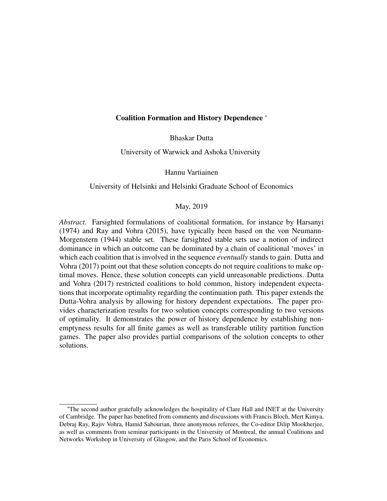# Coalition Formation and History Dependence <sup>∗</sup>

Bhaskar Dutta

University of Warwick and Ashoka University

Hannu Vartiainen

#### University of Helsinki and Helsinki Graduate School of Economics

# May, 2019

*Abstract.* Farsighted formulations of coalitional formation, for instance by Harsanyi (1974) and Ray and Vohra (2015), have typically been based on the von Neumann-Morgenstern (1944) stable set. These farsighted stable sets use a notion of indirect dominance in which an outcome can be dominated by a chain of coalitional 'moves' in which each coalition that is involved in the sequence *eventually* stands to gain. Dutta and Vohra (2017) point out that these solution concepts do not require coalitions to make optimal moves. Hence, these solution concepts can yield unreasonable predictions. Dutta and Vohra (2017) restricted coalitions to hold common, history independent expectations that incorporate optimality regarding the continuation path. This paper extends the Dutta-Vohra analysis by allowing for history dependent expectations. The paper provides characterization results for two solution concepts corresponding to two versions of optimality. It demonstrates the power of history dependence by establishing nonemptyness results for all finite games as well as transferable utility partition function games. The paper also provides partial comparisons of the solution concepts to other solutions.

<sup>∗</sup>The second author gratefully acknowledges the hospitality of Clare Hall and INET at the University of Cambridge. The paper has benefited from comments and discussions with Francis Bloch, Mert Kimya, Debraj Ray, Rajiv Vohra, Hamid Sabourian, three anonymous referees, the Co-editor Dilip Mookherjee, as well as comments from seminar participants in the University of Montreal, the annual Coalitions and Networks Workshop in University of Glasgow, and the Paris School of Economics.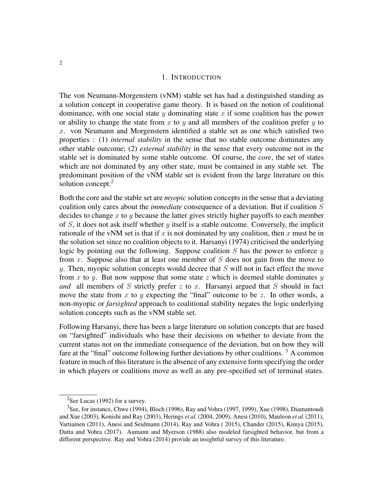## 1. INTRODUCTION

The von Neumann-Morgenstern (vNM) stable set has had a distinguished standing as a solution concept in cooperative game theory. It is based on the notion of coalitional dominance, with one social state  $y$  dominating state  $x$  if some coalition has the power or ability to change the state from x to y and all members of the coalition prefer y to  $x$ . von Neumann and Morgenstern identified a stable set as one which satisfied two properties : (1) *internal stability* in the sense that no stable outcome dominates any other stable outcome; (2) *external stability* in the sense that every outcome not in the stable set is dominated by some stable outcome. Of course, the *core*, the set of states which are not dominated by any other state, must be contained in any stable set. The predominant position of the vNM stable set is evident from the large literature on this solution concept.<sup>2</sup>

Both the core and the stable set are *myopic* solution concepts in the sense that a deviating coalition only cares about the *immediate* consequence of a deviation. But if coalition S decides to change  $x$  to  $y$  because the latter gives strictly higher payoffs to each member of  $S$ , it does not ask itself whether  $y$  itself is a stable outcome. Conversely, the implicit rationale of the vNM set is that if x is not dominated by any coalition, then x must be in the solution set since no coalition objects to it. Harsanyi (1974) criticised the underlying logic by pointing out the following. Suppose coalition  $S$  has the power to enforce  $y$ from x. Suppose also that at least one member of  $S$  does not gain from the move to  $y$ . Then, myopic solution concepts would decree that  $S$  will not in fact effect the move from x to y. But now suppose that some state z which is deemed stable dominates y *and* all members of S strictly prefer  $z$  to  $x$ . Harsanyi argued that S should in fact move the state from x to y expecting the "final" outcome to be z. In other words, a non-myopic or *farsighted* approach to coalitional stability negates the logic underlying solution concepts such as the vNM stable set.

Following Harsanyi, there has been a large literature on solution concepts that are based on "farsighted" individuals who base their decisions on whether to deviate from the current status not on the immediate consequence of the deviation, but on how they will fare at the "final" outcome following further deviations by other coalitions.  $3$  A common feature in much of this literature is the absence of any extensive form specifying the order in which players or coalitions move as well as any pre-specified set of terminal states.

<sup>&</sup>lt;sup>2</sup>See Lucas (1992) for a survey.

<sup>3</sup>See, for instance, Chwe (1994), Bloch (1996), Ray and Vohra (1997, 1999), Xue (1998), Diamantoudi and Xue (2003), Konishi and Ray (2003), Herings *et al.*(2004, 2009), Anesi (2010), Mauleon *et al.*(2011), Vartiainen (2011), Anesi and Seidmann (2014), Ray and Vohra ( 2015), Chander (2015), Kimya (2015), Dutta and Vohra (2017). Aumann and Myerson (1988) also modeled farsighted behavior, but from a different perspective. Ray and Vohra (2014) provide an insightful survey of this literature.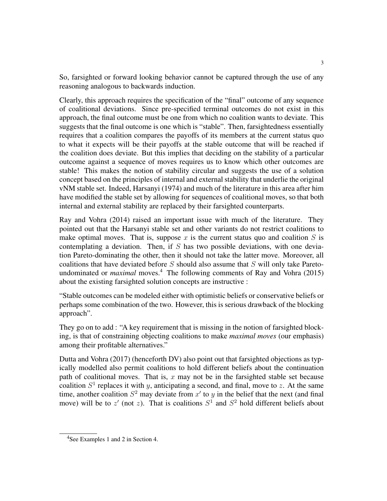So, farsighted or forward looking behavior cannot be captured through the use of any reasoning analogous to backwards induction.

Clearly, this approach requires the specification of the "final" outcome of any sequence of coalitional deviations. Since pre-specified terminal outcomes do not exist in this approach, the final outcome must be one from which no coalition wants to deviate. This suggests that the final outcome is one which is "stable". Then, farsightedness essentially requires that a coalition compares the payoffs of its members at the current status quo to what it expects will be their payoffs at the stable outcome that will be reached if the coalition does deviate. But this implies that deciding on the stability of a particular outcome against a sequence of moves requires us to know which other outcomes are stable! This makes the notion of stability circular and suggests the use of a solution concept based on the principles of internal and external stability that underlie the original vNM stable set. Indeed, Harsanyi (1974) and much of the literature in this area after him have modified the stable set by allowing for sequences of coalitional moves, so that both internal and external stability are replaced by their farsighted counterparts.

Ray and Vohra (2014) raised an important issue with much of the literature. They pointed out that the Harsanyi stable set and other variants do not restrict coalitions to make optimal moves. That is, suppose x is the current status quo and coalition  $S$  is contemplating a deviation. Then, if  $S$  has two possible deviations, with one deviation Pareto-dominating the other, then it should not take the latter move. Moreover, all coalitions that have deviated before  $S$  should also assume that  $S$  will only take Paretoundominated or *maximal* moves.<sup>4</sup> The following comments of Ray and Vohra (2015) about the existing farsighted solution concepts are instructive :

"Stable outcomes can be modeled either with optimistic beliefs or conservative beliefs or perhaps some combination of the two. However, this is serious drawback of the blocking approach".

They go on to add : "A key requirement that is missing in the notion of farsighted blocking, is that of constraining objecting coalitions to make *maximal moves* (our emphasis) among their profitable alternatives."

Dutta and Vohra (2017) (henceforth DV) also point out that farsighted objections as typically modelled also permit coalitions to hold different beliefs about the continuation path of coalitional moves. That is,  $x$  may not be in the farsighted stable set because coalition  $S^1$  replaces it with y, anticipating a second, and final, move to z. At the same time, another coalition  $S^2$  may deviate from  $x'$  to y in the belief that the next (and final move) will be to  $z'$  (not z). That is coalitions  $S^1$  and  $S^2$  hold different beliefs about

<sup>&</sup>lt;sup>4</sup>See Examples 1 and 2 in Section 4.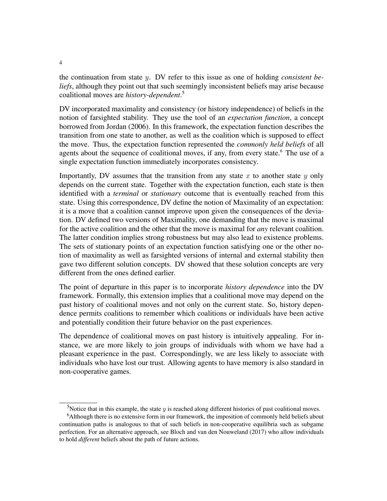the continuation from state y. DV refer to this issue as one of holding *consistent beliefs*, although they point out that such seemingly inconsistent beliefs may arise because coalitional moves are *history-dependent*. 5

DV incorporated maximality and consistency (or history independence) of beliefs in the notion of farsighted stability. They use the tool of an *expectation function*, a concept borrowed from Jordan (2006). In this framework, the expectation function describes the transition from one state to another, as well as the coalition which is supposed to effect the move. Thus, the expectation function represented the *commonly held beliefs* of all agents about the sequence of coalitional moves, if any, from every state.<sup>6</sup> The use of a single expectation function immediately incorporates consistency.

Importantly, DV assumes that the transition from any state x to another state  $y$  only depends on the current state. Together with the expectation function, each state is then identified with a *terminal* or *stationary* outcome that is eventually reached from this state. Using this correspondence, DV define the notion of Maximality of an expectation: it is a move that a coalition cannot improve upon given the consequences of the deviation. DV defined two versions of Maximality, one demanding that the move is maximal for the active coalition and the other that the move is maximal for *any* relevant coalition. The latter condition implies strong robustness but may also lead to existence problems. The sets of stationary points of an expectation function satisfying one or the other notion of maximality as well as farsighted versions of internal and external stability then gave two different solution concepts. DV showed that these solution concepts are very different from the ones defined earlier.

The point of departure in this paper is to incorporate *history dependence* into the DV framework. Formally, this extension implies that a coalitional move may depend on the past history of coalitional moves and not only on the current state. So, history dependence permits coalitions to remember which coalitions or individuals have been active and potentially condition their future behavior on the past experiences.

The dependence of coalitional moves on past history is intuitively appealing. For instance, we are more likely to join groups of individuals with whom we have had a pleasant experience in the past. Correspondingly, we are less likely to associate with individuals who have lost our trust. Allowing agents to have memory is also standard in non-cooperative games.

<sup>&</sup>lt;sup>5</sup>Notice that in this example, the state  $\gamma$  is reached along different histories of past coalitional moves.

<sup>6</sup>Although there is no extensive form in our framework, the imposition of commonly held beliefs about continuation paths is analogous to that of such beliefs in non-cooperative equilibria such as subgame perfection. For an alternative approach, see Bloch and van den Nouweland (2017) who allow individuals to hold *different* beliefs about the path of future actions.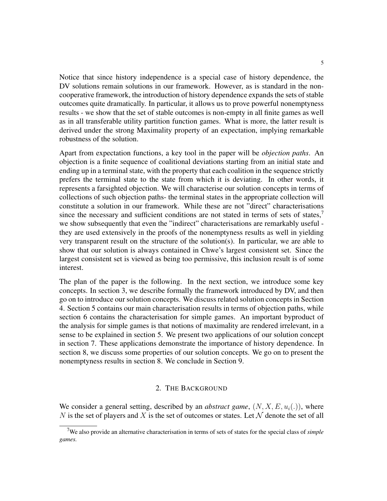Notice that since history independence is a special case of history dependence, the DV solutions remain solutions in our framework. However, as is standard in the noncooperative framework, the introduction of history dependence expands the sets of stable outcomes quite dramatically. In particular, it allows us to prove powerful nonemptyness results - we show that the set of stable outcomes is non-empty in all finite games as well as in all transferable utility partition function games. What is more, the latter result is derived under the strong Maximality property of an expectation, implying remarkable robustness of the solution.

Apart from expectation functions, a key tool in the paper will be *objection paths*. An objection is a finite sequence of coalitional deviations starting from an initial state and ending up in a terminal state, with the property that each coalition in the sequence strictly prefers the terminal state to the state from which it is deviating. In other words, it represents a farsighted objection. We will characterise our solution concepts in terms of collections of such objection paths- the terminal states in the appropriate collection will constitute a solution in our framework. While these are not "direct" characterisations since the necessary and sufficient conditions are not stated in terms of sets of states,<sup>7</sup> we show subsequently that even the "indirect" characterisations are remarkably useful they are used extensively in the proofs of the nonemptyness results as well in yielding very transparent result on the structure of the solution(s). In particular, we are able to show that our solution is always contained in Chwe's largest consistent set. Since the largest consistent set is viewed as being too permissive, this inclusion result is of some interest.

The plan of the paper is the following. In the next section, we introduce some key concepts. In section 3, we describe formally the framework introduced by DV, and then go on to introduce our solution concepts. We discuss related solution concepts in Section 4. Section 5 contains our main characterisation results in terms of objection paths, while section 6 contains the characterisation for simple games. An important byproduct of the analysis for simple games is that notions of maximality are rendered irrelevant, in a sense to be explained in section 5. We present two applications of our solution concept in section 7. These applications demonstrate the importance of history dependence. In section 8, we discuss some properties of our solution concepts. We go on to present the nonemptyness results in section 8. We conclude in Section 9.

# 2. THE BACKGROUND

We consider a general setting, described by an *abstract game*,  $(N, X, E, u_i(.))$ , where N is the set of players and X is the set of outcomes or states. Let N denote the set of all

<sup>7</sup>We also provide an alternative characterisation in terms of sets of states for the special class of *simple games.*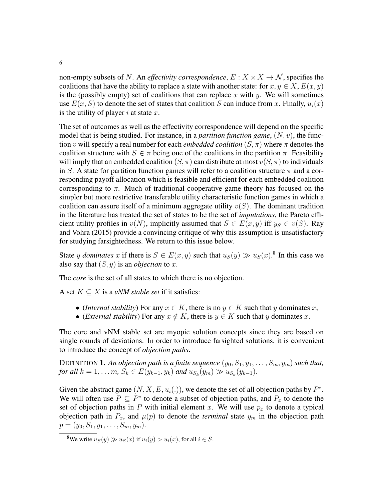non-empty subsets of N. An *effectivity correspondence*,  $E: X \times X \rightarrow N$ , specifies the coalitions that have the ability to replace a state with another state: for  $x, y \in X$ ,  $E(x, y)$ is the (possibly empty) set of coalitions that can replace x with y. We will sometimes use  $E(x, S)$  to denote the set of states that coalition S can induce from x. Finally,  $u_i(x)$ is the utility of player i at state  $x$ .

The set of outcomes as well as the effectivity correspondence will depend on the specific model that is being studied. For instance, in a *partition function game*,  $(N, v)$ , the function v will specify a real number for each *embedded coalition*  $(S, \pi)$  where  $\pi$  denotes the coalition structure with  $S \in \pi$  being one of the coalitions in the partition  $\pi$ . Feasibility will imply that an embedded coalition  $(S, \pi)$  can distribute at most  $v(S, \pi)$  to individuals in S. A state for partition function games will refer to a coalition structure  $\pi$  and a corresponding payoff allocation which is feasible and efficient for each embedded coalition corresponding to  $\pi$ . Much of traditional cooperative game theory has focused on the simpler but more restrictive transferable utility characteristic function games in which a coalition can assure itself of a minimum aggregate utility  $v(S)$ . The dominant tradition in the literature has treated the set of states to be the set of *imputations*, the Pareto efficient utility profiles in  $v(N)$ , implicitly assumed that  $S \in E(x, y)$  iff  $y_S \in v(S)$ . Ray and Vohra (2015) provide a convincing critique of why this assumption is unsatisfactory for studying farsightedness. We return to this issue below.

State y *dominates* x if there is  $S \in E(x, y)$  such that  $u_S(y) \gg u_S(x)$ .<sup>8</sup> In this case we also say that  $(S, y)$  is an *objection* to x.

The *core* is the set of all states to which there is no objection.

A set  $K \subseteq X$  is a *vNM stable set* if it satisfies:

- (*Internal stability*) For any  $x \in K$ , there is no  $y \in K$  such that y dominates x,
- (*External stability*) For any  $x \notin K$ , there is  $y \in K$  such that y dominates x.

The core and vNM stable set are myopic solution concepts since they are based on single rounds of deviations. In order to introduce farsighted solutions, it is convenient to introduce the concept of *objection paths*.

DEFINITION **1.** An objection path is a finite sequence  $(y_0, S_1, y_1, \ldots, S_m, y_m)$  such that, *for all*  $k = 1, ..., m$ ,  $S_k \in E(y_{k-1}, y_k)$  *and*  $u_{S_k}(y_m) \gg u_{S_k}(y_{k-1})$ .

Given the abstract game  $(N, X, E, u_i(.))$ , we denote the set of all objection paths by  $P^*$ . We will often use  $P \subseteq P^*$  to denote a subset of objection paths, and  $P_x$  to denote the set of objection paths in  $P$  with initial element  $x$ . We will use  $p_x$  to denote a typical objection path in  $P_x$ , and  $\mu(p)$  to denote the *terminal* state  $y_m$  in the objection path  $p = (y_0, S_1, y_1, \ldots, S_m, y_m).$ 

<sup>&</sup>lt;sup>8</sup>We write  $u_S(y) \gg u_S(x)$  if  $u_i(y) > u_i(x)$ , for all  $i \in S$ .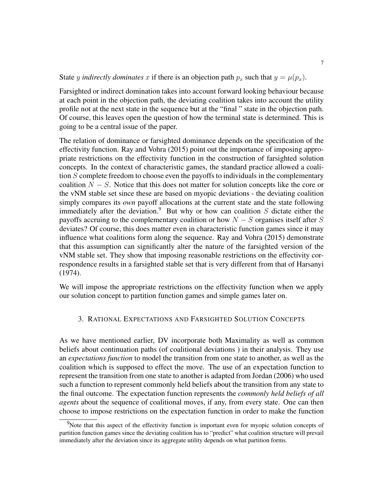State y *indirectly dominates* x if there is an objection path  $p_x$  such that  $y = \mu(p_x)$ .

Farsighted or indirect domination takes into account forward looking behaviour because at each point in the objection path, the deviating coalition takes into account the utility profile not at the next state in the sequence but at the "final " state in the objection path. Of course, this leaves open the question of how the terminal state is determined. This is going to be a central issue of the paper.

The relation of dominance or farsighted dominance depends on the specification of the effectivity function. Ray and Vohra (2015) point out the importance of imposing appropriate restrictions on the effectivity function in the construction of farsighted solution concepts. In the context of characteristic games, the standard practice allowed a coalition S complete freedom to choose even the payoffs to individuals in the complementary coalition  $N - S$ . Notice that this does not matter for solution concepts like the core or the vNM stable set since these are based on myopic deviations - the deviating coalition simply compares its *own* payoff allocations at the current state and the state following immediately after the deviation.<sup>9</sup> But why or how can coalition  $S$  dictate either the payoffs accruing to the complementary coalition or how  $N - S$  organises itself after S deviates? Of course, this does matter even in characteristic function games since it may influence what coalitions form along the sequence. Ray and Vohra (2015) demonstrate that this assumption can significantly alter the nature of the farsighted version of the vNM stable set. They show that imposing reasonable restrictions on the effectivity correspondence results in a farsighted stable set that is very different from that of Harsanyi (1974).

We will impose the appropriate restrictions on the effectivity function when we apply our solution concept to partition function games and simple games later on.

# 3. RATIONAL EXPECTATIONS AND FARSIGHTED SOLUTION CONCEPTS

As we have mentioned earlier, DV incorporate both Maximality as well as common beliefs about continuation paths (of coalitional deviations ) in their analysis. They use an *expectations function* to model the transition from one state to another, as well as the coalition which is supposed to effect the move. The use of an expectation function to represent the transition from one state to another is adapted from Jordan (2006) who used such a function to represent commonly held beliefs about the transition from any state to the final outcome. The expectation function represents the *commonly held beliefs of all agents* about the sequence of coalitional moves, if any, from every state. One can then choose to impose restrictions on the expectation function in order to make the function

 $9$ Note that this aspect of the effectivity function is important even for myopic solution concepts of partition function games since the deviating coalition has to "predict" what coalition structure will prevail immediately after the deviation since its aggregate utility depends on what partition forms.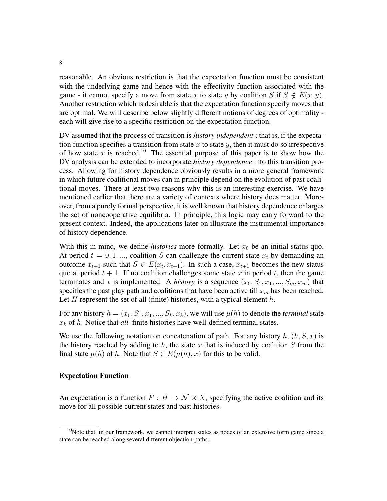reasonable. An obvious restriction is that the expectation function must be consistent with the underlying game and hence with the effectivity function associated with the game - it cannot specify a move from state x to state y by coalition S if  $S \notin E(x, y)$ . Another restriction which is desirable is that the expectation function specify moves that are optimal. We will describe below slightly different notions of degrees of optimality each will give rise to a specific restriction on the expectation function.

DV assumed that the process of transition is *history independent* ; that is, if the expectation function specifies a transition from state x to state y, then it must do so irrespective of how state x is reached.<sup>10</sup> The essential purpose of this paper is to show how the DV analysis can be extended to incorporate *history dependence* into this transition process. Allowing for history dependence obviously results in a more general framework in which future coalitional moves can in principle depend on the evolution of past coalitional moves. There at least two reasons why this is an interesting exercise. We have mentioned earlier that there are a variety of contexts where history does matter. Moreover, from a purely formal perspective, it is well known that history dependence enlarges the set of noncooperative equilibria. In principle, this logic may carry forward to the present context. Indeed, the applications later on illustrate the instrumental importance of history dependence.

With this in mind, we define *histories* more formally. Let  $x_0$  be an initial status quo. At period  $t = 0, 1, \dots$ , coalition S can challenge the current state  $x_t$  by demanding an outcome  $x_{t+1}$  such that  $S \in E(x_t, x_{t+1})$ . In such a case,  $x_{t+1}$  becomes the new status quo at period  $t + 1$ . If no coalition challenges some state x in period t, then the game terminates and x is implemented. A *history* is a sequence  $(x_0, S_1, x_1, ..., S_m, x_m)$  that specifies the past play path and coalitions that have been active till  $x_m$  has been reached. Let  $H$  represent the set of all (finite) histories, with a typical element  $h$ .

For any history  $h = (x_0, S_1, x_1, ..., S_k, x_k)$ , we will use  $\mu(h)$  to denote the *terminal* state  $x_k$  of h. Notice that *all* finite histories have well-defined terminal states.

We use the following notation on concatenation of path. For any history  $h$ ,  $(h, S, x)$  is the history reached by adding to  $h$ , the state  $x$  that is induced by coalition  $S$  from the final state  $\mu(h)$  of h. Note that  $S \in E(\mu(h), x)$  for this to be valid.

#### Expectation Function

An expectation is a function  $F : H \to \mathcal{N} \times X$ , specifying the active coalition and its move for all possible current states and past histories.

 $10$ Note that, in our framework, we cannot interpret states as nodes of an extensive form game since a state can be reached along several different objection paths.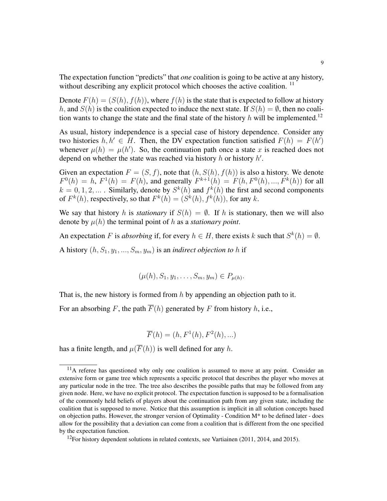The expectation function "predicts" that *one* coalition is going to be active at any history, without describing any explicit protocol which chooses the active coalition.<sup>11</sup>

Denote  $F(h) = (S(h), f(h))$ , where  $f(h)$  is the state that is expected to follow at history h, and  $S(h)$  is the coalition expected to induce the next state. If  $S(h) = \emptyset$ , then no coalition wants to change the state and the final state of the history h will be implemented.<sup>12</sup>

As usual, history independence is a special case of history dependence. Consider any two histories  $h, h' \in H$ . Then, the DV expectation function satisfied  $F(h) = F(h')$ whenever  $\mu(h) = \mu(h')$ . So, the continuation path once a state x is reached does not depend on whether the state was reached via history  $h$  or history  $h'$ .

Given an expectation  $F = (S, f)$ , note that  $(h, S(h), f(h))$  is also a history. We denote  $F^0(h) = h$ ,  $F^1(h) = F(h)$ , and generally  $F^{k+1}(h) = F(h, F^0(h), ..., F^k(h))$  for all  $k = 0, 1, 2, ...$  Similarly, denote by  $S^k(h)$  and  $f^k(h)$  the first and second components of  $F^k(h)$ , respectively, so that  $F^k(h) = (S^k(h), f^k(h))$ , for any k.

We say that history h is *stationary* if  $S(h) = \emptyset$ . If h is stationary, then we will also denote by  $\mu(h)$  the terminal point of h as a *stationary point*.

An expectation F is *absorbing* if, for every  $h \in H$ , there exists k such that  $S^k(h) = \emptyset$ .

A history  $(h, S_1, y_1, ..., S_m, y_m)$  is an *indirect objection to* h if

$$
(\mu(h), S_1, y_1, \ldots, S_m, y_m) \in P_{\mu(h)}.
$$

That is, the new history is formed from  $h$  by appending an objection path to it.

For an absorbing F, the path  $\overline{F}(h)$  generated by F from history h, i.e.,

$$
\overline{F}(h) = (h, F1(h), F2(h), ...)
$$

has a finite length, and  $\mu(\overline{F}(h))$  is well defined for any h.

 $11$ A referee has questioned why only one coalition is assumed to move at any point. Consider an extensive form or game tree which represents a specific protocol that describes the player who moves at any particular node in the tree. The tree also describes the possible paths that may be followed from any given node. Here, we have no explicit protocol. The expectation function is supposed to be a formalisation of the commonly held beliefs of players about the continuation path from any given state, including the coalition that is supposed to move. Notice that this assumption is implicit in all solution concepts based on objection paths. However, the stronger version of Optimality - Condition M\* to be defined later - does allow for the possibility that a deviation can come from a coalition that is different from the one specified by the expectation function.

 $12$ For history dependent solutions in related contexts, see Vartiainen (2011, 2014, and 2015).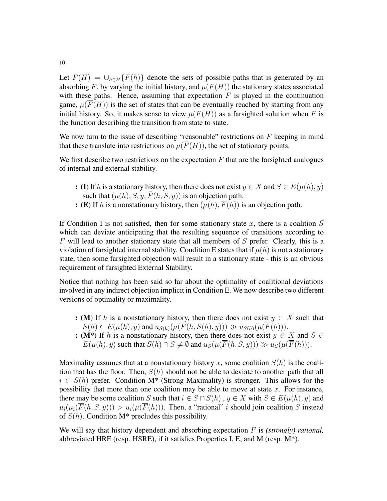Let  $\overline{F}(H) = \bigcup_{h \in H} {\overline{F}(h)}$  denote the sets of possible paths that is generated by an absorbing F, by varying the initial history, and  $\mu(\overline{F}(H))$  the stationary states associated with these paths. Hence, assuming that expectation  $F$  is played in the continuation game,  $\mu(\overline{F}(H))$  is the set of states that can be eventually reached by starting from any initial history. So, it makes sense to view  $\mu(\overline{F}(H))$  as a farsighted solution when F is the function describing the transition from state to state.

We now turn to the issue of describing "reasonable" restrictions on  $F$  keeping in mind that these translate into restrictions on  $\mu(\overline{F}(H))$ , the set of stationary points.

We first describe two restrictions on the expectation  $F$  that are the farsighted analogues of internal and external stability.

- : (I) If h is a stationary history, then there does not exist  $y \in X$  and  $S \in E(\mu(h), y)$ such that  $(\mu(h), S, y, \overline{F}(h, S, y))$  is an objection path.
- : (E) If h is a nonstationary history, then  $(\mu(h), \overline{F}(h))$  is an objection path.

If Condition I is not satisfied, then for some stationary state x, there is a coalition  $S$ which can deviate anticipating that the resulting sequence of transitions according to  $F$  will lead to another stationary state that all members of  $S$  prefer. Clearly, this is a violation of farsighted internal stability. Condition E states that if  $\mu(h)$  is not a stationary state, then some farsighted objection will result in a stationary state - this is an obvious requirement of farsighted External Stability.

Notice that nothing has been said so far about the optimality of coalitional deviations involved in any indirect objection implicit in Condition E. We now describe two different versions of optimality or maximality.

- : (M) If h is a nonstationary history, then there does not exist  $y \in X$  such that  $S(h) \in E(\mu(h), y)$  and  $u_{S(h)}(\mu(\overline{F}(h, S(h), y))) \gg u_{S(h)}(\mu(\overline{F}(h))).$
- : (M<sup>\*</sup>) If h is a nonstationary history, then there does not exist  $y \in X$  and  $S \in$  $E(\mu(h), y)$  such that  $S(h) \cap S \neq \emptyset$  and  $u_S(\mu(F(h, S, y))) \gg u_S(\mu(F(h))).$

Maximality assumes that at a nonstationary history x, some coalition  $S(h)$  is the coalition that has the floor. Then,  $S(h)$  should not be able to deviate to another path that all  $i \in S(h)$  prefer. Condition M<sup>\*</sup> (Strong Maximality) is stronger. This allows for the possibility that more than one coalition may be able to move at state  $x$ . For instance, there may be some coalition S such that  $i \in S \cap S(h)$ ,  $y \in X$  with  $S \in E(\mu(h), y)$  and  $u_i(\mu_i(\overline{F}(h, S, y))) > u_i(\mu(\overline{F}(h)))$ . Then, a "rational" i should join coalition S instead of  $S(h)$ . Condition M<sup>\*</sup> precludes this possibility.

We will say that history dependent and absorbing expectation F is *(strongly) rational*, abbreviated HRE (resp. HSRE), if it satisfies Properties I, E, and M (resp.  $M^*$ ).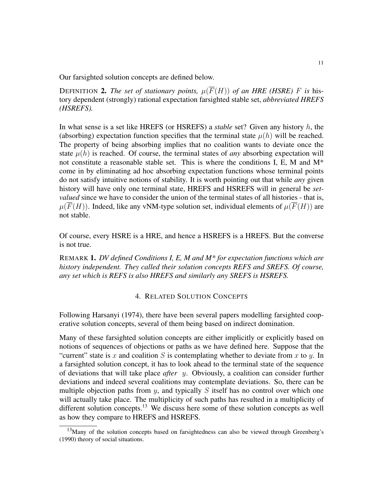Our farsighted solution concepts are defined below.

DEFINITION 2. The set of stationary points,  $\mu(\overline{F}(H))$  of an HRE (HSRE) F is history dependent (strongly) rational expectation farsighted stable set, *abbreviated HREFS (HSREFS).*

In what sense is a set like HREFS (or HSREFS) a *stable* set? Given any history h, the (absorbing) expectation function specifies that the terminal state  $\mu(h)$  will be reached. The property of being absorbing implies that no coalition wants to deviate once the state  $\mu(h)$  is reached. Of course, the terminal states of *any* absorbing expectation will not constitute a reasonable stable set. This is where the conditions I, E, M and  $M^*$ come in by eliminating ad hoc absorbing expectation functions whose terminal points do not satisfy intuitive notions of stability. It is worth pointing out that while *any* given history will have only one terminal state, HREFS and HSREFS will in general be *setvalued* since we have to consider the union of the terminal states of all histories - that is,  $\mu(\overline{F}(H))$ . Indeed, like any vNM-type solution set, individual elements of  $\mu(\overline{F}(H))$  are not stable.

Of course, every HSRE is a HRE, and hence a HSREFS is a HREFS. But the converse is not true.

REMARK 1. *DV defined Conditions I, E, M and M\* for expectation functions which are history independent. They called their solution concepts REFS and SREFS. Of course, any set which is REFS is also HREFS and similarly any SREFS is HSREFS.*

# 4. RELATED SOLUTION CONCEPTS

Following Harsanyi (1974), there have been several papers modelling farsighted cooperative solution concepts, several of them being based on indirect domination.

Many of these farsighted solution concepts are either implicitly or explicitly based on notions of sequences of objections or paths as we have defined here. Suppose that the "current" state is x and coalition S is contemplating whether to deviate from x to y. In a farsighted solution concept, it has to look ahead to the terminal state of the sequence of deviations that will take place *after* y. Obviously, a coalition can consider further deviations and indeed several coalitions may contemplate deviations. So, there can be multiple objection paths from  $y$ , and typically  $S$  itself has no control over which one will actually take place. The multiplicity of such paths has resulted in a multiplicity of different solution concepts.<sup>13</sup> We discuss here some of these solution concepts as well as how they compare to HREFS and HSREFS.

 $13$ Many of the solution concepts based on farsightedness can also be viewed through Greenberg's (1990) theory of social situations.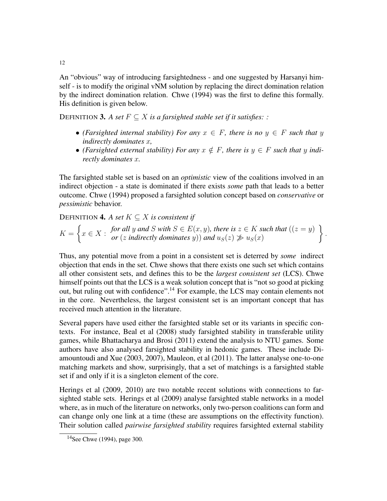An "obvious" way of introducing farsightedness - and one suggested by Harsanyi himself - is to modify the original vNM solution by replacing the direct domination relation by the indirect domination relation. Chwe (1994) was the first to define this formally. His definition is given below.

DEFINITION **3.** *A set*  $F \subseteq X$  *is a farsighted stable set if it satisfies: :* 

- *(Farsighted internal stability) For any*  $x \in F$ *, there is no*  $y \in F$  *such that* y *indirectly dominates* x*,*
- *(Farsighted external stability) For any*  $x \notin F$ *, there is*  $y \in F$  *such that* y *indirectly dominates* x*.*

The farsighted stable set is based on an *optimistic* view of the coalitions involved in an indirect objection - a state is dominated if there exists *some* path that leads to a better outcome. Chwe (1994) proposed a farsighted solution concept based on *conservative* or *pessimistic* behavior.

DEFINITION **4.** *A set*  $K \subseteq X$  *is consistent if* 

$$
K = \left\{ x \in X : \begin{array}{l} \textit{for all } y \textit{ and } S \textit{ with } S \in E(x, y), \textit{ there is } z \in K \textit{ such that } ((z = y)) \\ \textit{or } (z \textit{ indirectly dominates } y)) \textit{ and } u_S(z) \ngeq u_S(x) \end{array} \right\}.
$$

Thus, any potential move from a point in a consistent set is deterred by *some* indirect objection that ends in the set. Chwe shows that there exists one such set which contains all other consistent sets, and defines this to be the *largest consistent set* (LCS). Chwe himself points out that the LCS is a weak solution concept that is "not so good at picking out, but ruling out with confidence".<sup>14</sup> For example, the LCS may contain elements not in the core. Nevertheless, the largest consistent set is an important concept that has received much attention in the literature.

Several papers have used either the farsighted stable set or its variants in specific contexts. For instance, Beal et al (2008) study farsighted stability in transferable utility games, while Bhattacharya and Brosi (2011) extend the analysis to NTU games. Some authors have also analysed farsighted stability in hedonic games. These include Diamountoudi and Xue (2003, 2007), Mauleon, et al (2011). The latter analyse one-to-one matching markets and show, surprisingly, that a set of matchings is a farsighted stable set if and only if it is a singleton element of the core.

Herings et al (2009, 2010) are two notable recent solutions with connections to farsighted stable sets. Herings et al (2009) analyse farsighted stable networks in a model where, as in much of the literature on networks, only two-person coalitions can form and can change only one link at a time (these are assumptions on the effectivity function). Their solution called *pairwise farsighted stability* requires farsighted external stability

 $14$ See Chwe (1994), page 300.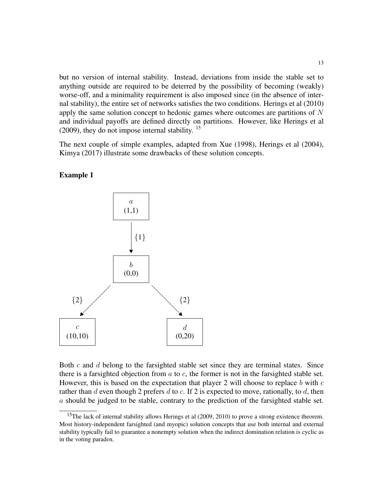but no version of internal stability. Instead, deviations from inside the stable set to anything outside are required to be deterred by the possibility of becoming (weakly) worse-off, and a minimality requirement is also imposed since (in the absence of internal stability), the entire set of networks satisfies the two conditions. Herings et al (2010) apply the same solution concept to hedonic games where outcomes are partitions of  $N$ and individual payoffs are defined directly on partitions. However, like Herings et al (2009), they do not impose internal stability.  $15$ 

The next couple of simple examples, adapted from Xue (1998), Herings et al (2004), Kimya (2017) illustrate some drawbacks of these solution concepts.



#### Example 1

Both  $c$  and  $d$  belong to the farsighted stable set since they are terminal states. Since there is a farsighted objection from  $a$  to  $c$ , the former is not in the farsighted stable set. However, this is based on the expectation that player 2 will choose to replace  $b$  with  $c$ rather than d even though 2 prefers d to c. If 2 is expected to move, rationally, to d, then a should be judged to be stable, contrary to the prediction of the farsighted stable set.

<sup>&</sup>lt;sup>15</sup>The lack of internal stability allows Herings et al (2009, 2010) to prove a strong existence theorem. Most history-independent farsighted (and myopic) solution concepts that use both internal and external stability typically fail to guarantee a nonempty solution when the indirect domination relation is cyclic as in the voting paradox.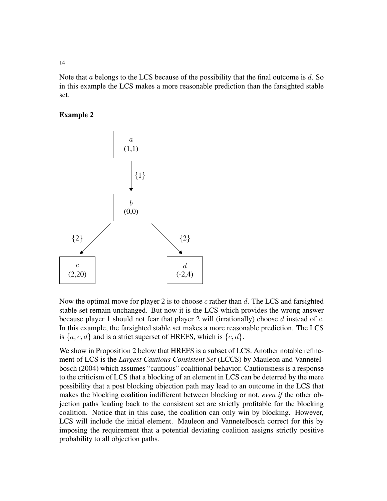Note that  $a$  belongs to the LCS because of the possibility that the final outcome is  $d$ . So in this example the LCS makes a more reasonable prediction than the farsighted stable set.

# Example 2



Now the optimal move for player 2 is to choose c rather than d. The LCS and farsighted stable set remain unchanged. But now it is the LCS which provides the wrong answer because player 1 should not fear that player 2 will (irrationally) choose  $d$  instead of  $c$ . In this example, the farsighted stable set makes a more reasonable prediction. The LCS is  $\{a, c, d\}$  and is a strict superset of HREFS, which is  $\{c, d\}$ .

We show in Proposition 2 below that HREFS is a subset of LCS. Another notable refinement of LCS is the *Largest Cautious Consistent Set* (LCCS) by Mauleon and Vannetelbosch (2004) which assumes "cautious" coalitional behavior. Cautiousness is a response to the criticism of LCS that a blocking of an element in LCS can be deterred by the mere possibility that a post blocking objection path may lead to an outcome in the LCS that makes the blocking coalition indifferent between blocking or not, *even if* the other objection paths leading back to the consistent set are strictly profitable for the blocking coalition. Notice that in this case, the coalition can only win by blocking. However, LCS will include the initial element. Mauleon and Vannetelbosch correct for this by imposing the requirement that a potential deviating coalition assigns strictly positive probability to all objection paths.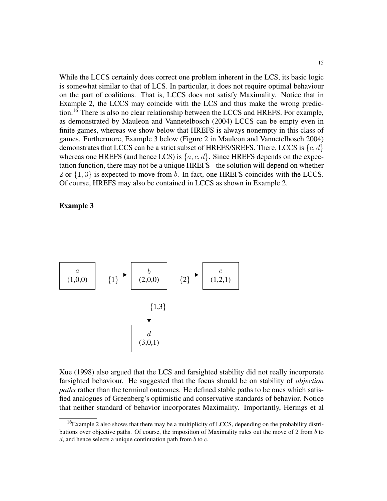While the LCCS certainly does correct one problem inherent in the LCS, its basic logic is somewhat similar to that of LCS. In particular, it does not require optimal behaviour on the part of coalitions. That is, LCCS does not satisfy Maximality. Notice that in Example 2, the LCCS may coincide with the LCS and thus make the wrong prediction.<sup>16</sup> There is also no clear relationship between the LCCS and HREFS. For example, as demonstrated by Mauleon and Vannetelbosch (2004) LCCS can be empty even in finite games, whereas we show below that HREFS is always nonempty in this class of games. Furthermore, Example 3 below (Figure 2 in Mauleon and Vannetelbosch 2004) demonstrates that LCCS can be a strict subset of HREFS/SREFS. There, LCCS is  $\{c, d\}$ whereas one HREFS (and hence LCS) is  $\{a, c, d\}$ . Since HREFS depends on the expectation function, there may not be a unique HREFS - the solution will depend on whether 2 or  $\{1,3\}$  is expected to move from b. In fact, one HREFS coincides with the LCCS. Of course, HREFS may also be contained in LCCS as shown in Example 2.

### Example 3



Xue (1998) also argued that the LCS and farsighted stability did not really incorporate farsighted behaviour. He suggested that the focus should be on stability of *objection paths* rather than the terminal outcomes. He defined stable paths to be ones which satisfied analogues of Greenberg's optimistic and conservative standards of behavior. Notice that neither standard of behavior incorporates Maximality. Importantly, Herings et al

 $16$ Example 2 also shows that there may be a multiplicity of LCCS, depending on the probability distributions over objective paths. Of course, the imposition of Maximality rules out the move of 2 from b to d, and hence selects a unique continuation path from  $b$  to  $c$ .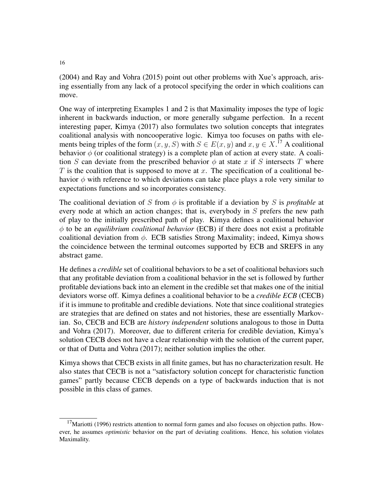(2004) and Ray and Vohra (2015) point out other problems with Xue's approach, arising essentially from any lack of a protocol specifying the order in which coalitions can move.

One way of interpreting Examples 1 and 2 is that Maximality imposes the type of logic inherent in backwards induction, or more generally subgame perfection. In a recent interesting paper, Kimya (2017) also formulates two solution concepts that integrates coalitional analysis with noncooperative logic. Kimya too focuses on paths with elements being triples of the form  $(x, y, S)$  with  $S \in E(x, y)$  and  $x, y \in X$ .<sup>17</sup> A coalitional behavior  $\phi$  (or coalitional strategy) is a complete plan of action at every state. A coalition S can deviate from the prescribed behavior  $\phi$  at state x if S intersects T where T is the coalition that is supposed to move at x. The specification of a coalitional behavior  $\phi$  with reference to which deviations can take place plays a role very similar to expectations functions and so incorporates consistency.

The coalitional deviation of S from  $\phi$  is profitable if a deviation by S is *profitable* at every node at which an action changes; that is, everybody in S prefers the new path of play to the initially prescribed path of play. Kimya defines a coalitional behavior φ to be an *equilibrium coalitional behavior* (ECB) if there does not exist a profitable coalitional deviation from  $\phi$ . ECB satisfies Strong Maximality; indeed, Kimya shows the coincidence between the terminal outcomes supported by ECB and SREFS in any abstract game.

He defines a *credible* set of coalitional behaviors to be a set of coalitional behaviors such that any profitable deviation from a coalitional behavior in the set is followed by further profitable deviations back into an element in the credible set that makes one of the initial deviators worse off. Kimya defines a coalitional behavior to be a *credible ECB* (CECB) if it is immune to profitable and credible deviations. Note that since coalitional strategies are strategies that are defined on states and not histories, these are essentially Markovian. So, CECB and ECB are *history independent* solutions analogous to those in Dutta and Vohra (2017). Moreover, due to different criteria for credible deviation, Kimya's solution CECB does not have a clear relationship with the solution of the current paper, or that of Dutta and Vohra (2017); neither solution implies the other.

Kimya shows that CECB exists in all finite games, but has no characterization result. He also states that CECB is not a "satisfactory solution concept for characteristic function games" partly because CECB depends on a type of backwards induction that is not possible in this class of games.

 $17$ Mariotti (1996) restricts attention to normal form games and also focuses on objection paths. However, he assumes *optimistic* behavior on the part of deviating coalitions. Hence, his solution violates Maximality.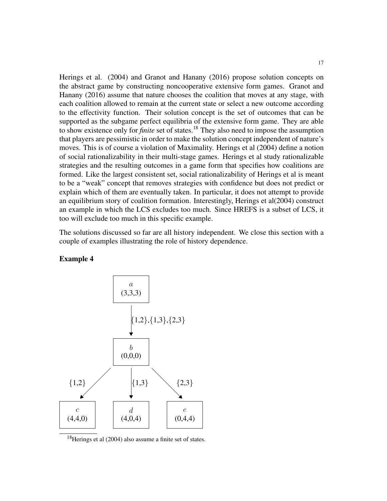Herings et al. (2004) and Granot and Hanany (2016) propose solution concepts on the abstract game by constructing noncooperative extensive form games. Granot and Hanany (2016) assume that nature chooses the coalition that moves at any stage, with each coalition allowed to remain at the current state or select a new outcome according to the effectivity function. Their solution concept is the set of outcomes that can be supported as the subgame perfect equilibria of the extensive form game. They are able to show existence only for *finite* set of states.<sup>18</sup> They also need to impose the assumption that players are pessimistic in order to make the solution concept independent of nature's moves. This is of course a violation of Maximality. Herings et al (2004) define a notion of social rationalizability in their multi-stage games. Herings et al study rationalizable strategies and the resulting outcomes in a game form that specifies how coalitions are formed. Like the largest consistent set, social rationalizability of Herings et al is meant to be a "weak" concept that removes strategies with confidence but does not predict or explain which of them are eventually taken. In particular, it does not attempt to provide an equilibrium story of coalition formation. Interestingly, Herings et al(2004) construct an example in which the LCS excludes too much. Since HREFS is a subset of LCS, it too will exclude too much in this specific example.

The solutions discussed so far are all history independent. We close this section with a couple of examples illustrating the role of history dependence.



#### Example 4

<sup>18</sup>Herings et al (2004) also assume a finite set of states.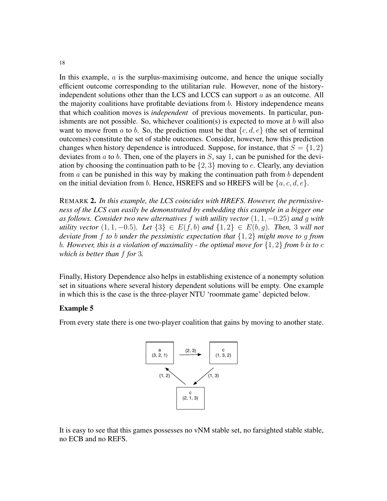In this example,  $\alpha$  is the surplus-maximising outcome, and hence the unique socially efficient outcome corresponding to the utilitarian rule. However, none of the historyindependent solutions other than the LCS and LCCS can support a as an outcome. All the majority coalitions have profitable deviations from  $b$ . History independence means that which coalition moves is *independent* of previous movements. In particular, punishments are not possible. So, whichever coalition(s) is expected to move at  $b$  will also want to move from a to b. So, the prediction must be that  $\{c, d, e\}$  (the set of terminal outcomes) constitute the set of stable outcomes. Consider, however, how this prediction changes when history dependence is introduced. Suppose, for instance, that  $S = \{1, 2\}$ deviates from  $a$  to  $b$ . Then, one of the players in  $S$ , say 1, can be punished for the deviation by choosing the continuation path to be  $\{2,3\}$  moving to e. Clearly, any deviation from  $\alpha$  can be punished in this way by making the continuation path from  $\delta$  dependent on the initial deviation from b. Hence, HSREFS and so HREFS will be  $\{a, c, d, e\}$ .

REMARK 2. *In this example, the LCS coincides with HREFS. However, the permissiveness of the LCS can easily be demonstrated by embedding this example in a bigger one as follows. Consider two new alternatives* f *with utility vector* (1, 1, −0.25) *and* g *with utility vector*  $(1, 1, -0.5)$ *. Let*  $\{3\}$  ∈  $E(f, b)$  *and*  $\{1, 2\}$  ∈  $E(b, q)$ *. Then,* 3 *will not deviate from* f *to* b *under the pessimistic expectation that* {1, 2} *might move to* g *from* b*. However, this is a violation of maximality - the optimal move for* {1, 2} *from* b *is to* c *which is better than* f *for* 3*.*

Finally, History Dependence also helps in establishing existence of a nonempty solution set in situations where several history dependent solutions will be empty. One example in which this is the case is the three-player NTU 'roommate game' depicted below.

# Example 5

From every state there is one two-player coalition that gains by moving to another state.



It is easy to see that this games possesses no vNM stable set, no farsighted stable stable, no ECB and no REFS.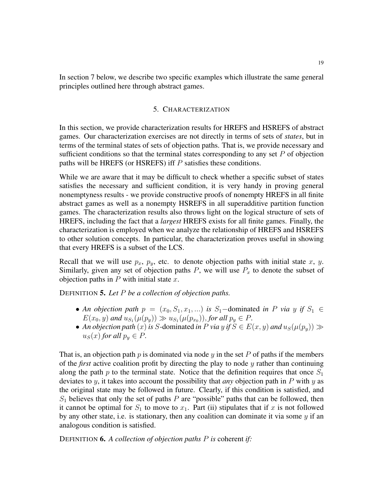In section 7 below, we describe two specific examples which illustrate the same general principles outlined here through abstract games.

### 5. CHARACTERIZATION

In this section, we provide characterization results for HREFS and HSREFS of abstract games. Our characterization exercises are not directly in terms of sets of *states*, but in terms of the terminal states of sets of objection paths. That is, we provide necessary and sufficient conditions so that the terminal states corresponding to any set  $P$  of objection paths will be HREFS (or HSREFS) iff P satisfies these conditions.

While we are aware that it may be difficult to check whether a specific subset of states satisfies the necessary and sufficient condition, it is very handy in proving general nonemptyness results - we provide constructive proofs of nonempty HREFS in all finite abstract games as well as a nonempty HSREFS in all superadditive partition function games. The characterization results also throws light on the logical structure of sets of HREFS, including the fact that a *largest* HREFS exists for all finite games. Finally, the characterization is employed when we analyze the relationship of HREFS and HSREFS to other solution concepts. In particular, the characterization proves useful in showing that every HREFS is a subset of the LCS.

Recall that we will use  $p_x$ ,  $p_y$ , etc. to denote objection paths with initial state x, y. Similarly, given any set of objection paths  $P$ , we will use  $P_x$  to denote the subset of objection paths in  $P$  with initial state  $x$ .

DEFINITION 5. *Let* P *be a collection of objection paths.*

- An objection path  $p = (x_0, S_1, x_1, ...)$  is S<sub>1</sub>-dominated *in* P *via* y if  $S_1 \in$  $E(x_0, y)$  and  $u_{S_1}(\mu(p_y)) \gg u_{S_1}(\mu(p_{x_0}))$ , for all  $p_y \in P$ .
- An objection path  $(x)$  is S-dominated *in* P via y if  $S \in E(x, y)$  and  $u_S(\mu(p_y)) \gg$  $u_S(x)$  *for all*  $p_y \in P$ .

That is, an objection path  $p$  is dominated via node  $y$  in the set  $P$  of paths if the members of the *first* active coalition profit by directing the play to node y rather than continuing along the path  $p$  to the terminal state. Notice that the definition requires that once  $S_1$ deviates to y, it takes into account the possibility that *any* objection path in P with y as the original state may be followed in future. Clearly, if this condition is satisfied, and  $S_1$  believes that only the set of paths P are "possible" paths that can be followed, then it cannot be optimal for  $S_1$  to move to  $x_1$ . Part (ii) stipulates that if x is not followed by any other state, i.e. is stationary, then any coalition can dominate it via some  $y$  if an analogous condition is satisfied.

DEFINITION 6. *A collection of objection paths* P *is* coherent *if:*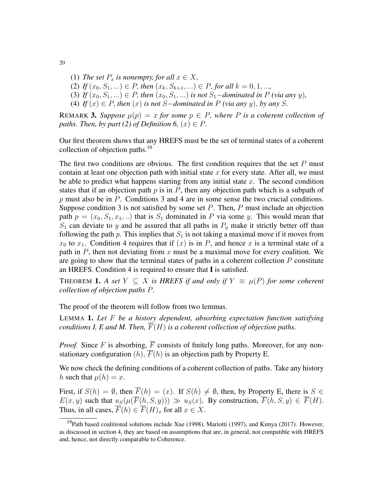- (1) *The set*  $P_x$  *is nonempty, for all*  $x \in X$ *,*
- (2) *If*  $(x_0, S_1, ...) \in P$ *, then*  $(x_k, S_{k+1}, ...) \in P$ *, for all*  $k = 0, 1, ...$ *,*
- (3) *If*  $(x_0, S_1, ...) \in P$ , *then*  $(x_0, S_1, ...)$  *is not*  $S_1$ *-dominated in* P *(via any y)*,
- (4) *If*  $(x) \in P$ , *then*  $(x)$  *is not S*−*dominated in*  $P$   $(via$  *any*  $y)$ , *by any*  $S$ .

REMARK 3. Suppose  $\mu(p) = x$  for some  $p \in P$ , where P is a coherent collection of *paths. Then, by part (2) of Definition 6,*  $(x) \in P$ *.* 

Our first theorem shows that any HREFS must be the set of terminal states of a coherent collection of objection paths.<sup>19</sup>

The first two conditions are obvious. The first condition requires that the set  $P$  must contain at least one objection path with initial state x for every state. After all, we must be able to predict what happens starting from any initial state  $x$ . The second condition states that if an objection path  $p$  is in  $P$ , then any objection path which is a subpath of  $p$  must also be in  $P$ . Conditions 3 and 4 are in some sense the two crucial conditions. Suppose condition 3 is not satisfied by some set  $P$ . Then,  $P$  must include an objection path  $p = (x_0, S_1, x_1, ...)$  that is  $S_1$  dominated in P via some y. This would mean that  $S_1$  can deviate to y and be assured that all paths in  $P_y$  make it strictly better off than following the path p. This implies that  $S_1$  is not taking a maximal move if it moves from  $x_0$  to  $x_1$ . Condition 4 requires that if  $(x)$  is in P, and hence x is a terminal state of a path in  $P$ , then not deviating from  $x$  must be a maximal move for every coalition. We are going to show that the terminal states of paths in a coherent collection  $P$  constitute an HREFS. Condition 4 is required to ensure that I is satisfied.

THEOREM **1.** A set  $Y \subseteq X$  is HREFS if and only if  $Y \equiv \mu(P)$  for some coherent *collection of objection paths* P*.*

The proof of the theorem will follow from two lemmas.

LEMMA 1. *Let* F *be a history dependent, absorbing expectation function satisfying conditions I, E and M. Then,*  $\overline{F}(H)$  *is a coherent collection of objection paths.* 

*Proof.* Since F is absorbing,  $\overline{F}$  consists of finitely long paths. Moreover, for any nonstationary configuration  $(h)$ ,  $\overline{F}(h)$  is an objection path by Property E.

We now check the defining conditions of a coherent collection of paths. Take any history h such that  $\mu(h) = x$ .

First, if  $S(h) = \emptyset$ , then  $\overline{F}(h) = (x)$ . If  $S(h) \neq \emptyset$ , then, by Property E, there is  $S \in$  $E(x, y)$  such that  $u_S(\mu(F(h, S, y))) \gg u_S(x)$ . By construction,  $\overline{F}(h, S, y) \in \overline{F}(H)$ . Thus, in all cases,  $\overline{F}(h) \in \overline{F}(H)_x$  for all  $x \in X$ .

 $19$ Path based coalitional solutions include Xue (1998), Mariotti (1997), and Kimya (2017). However, as discussed in section 4, they are based on assumptions that are, in general, not compatible with HREFS and, hence, not directly comparable to Coherence.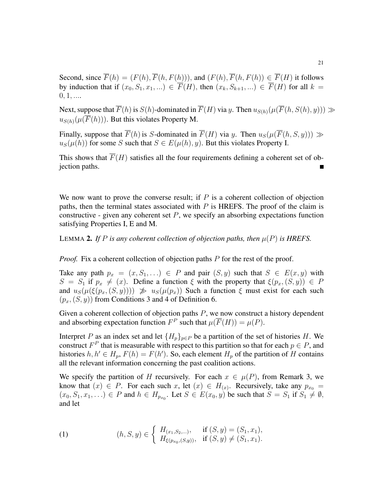Second, since  $\overline{F}(h) = (F(h), \overline{F}(h, F(h)))$ , and  $(F(h), \overline{F}(h, F(h))) \in \overline{F}(H)$  it follows by induction that if  $(x_0, S_1, x_1, ...) \in \overline{F}(H)$ , then  $(x_k, S_{k+1}, ...) \in \overline{F}(H)$  for all  $k =$  $0, 1, \ldots$ 

Next, suppose that  $\overline{F}(h)$  is  $S(h)$ -dominated in  $\overline{F}(H)$  via y. Then  $u_{S(h)}(\mu(\overline{F}(h, S(h), y))) \gg$  $u_{S(h)}(\mu(\overline{F}(h)))$ . But this violates Property M.

Finally, suppose that  $\overline{F}(h)$  is S-dominated in  $\overline{F}(H)$  via y. Then  $u_S(\mu(\overline{F}(h, S, y))) \gg$  $u<sub>S</sub>(\mu(h))$  for some S such that  $S \in E(\mu(h), y)$ . But this violates Property I.

This shows that  $\overline{F}(H)$  satisfies all the four requirements defining a coherent set of objection paths.

We now want to prove the converse result; if  $P$  is a coherent collection of objection paths, then the terminal states associated with  $P$  is HREFS. The proof of the claim is constructive - given any coherent set  $P$ , we specify an absorbing expectations function satisfying Properties I, E and M.

LEMMA 2. If P is any coherent collection of objection paths, then  $\mu(P)$  is HREFS.

*Proof.* Fix a coherent collection of objection paths P for the rest of the proof.

Take any path  $p_x = (x, S_1, ...) \in P$  and pair  $(S, y)$  such that  $S \in E(x, y)$  with  $S = S_1$  if  $p_x \neq (x)$ . Define a function ξ with the property that  $\xi(p_x, (S, y)) \in P$ and  $u_S(\mu(\xi(p_x,(S,y)))) \gg u_S(\mu(p_x))$  Such a function  $\xi$  must exist for each such  $(p_x,(S, y))$  from Conditions 3 and 4 of Definition 6.

Given a coherent collection of objection paths  $P$ , we now construct a history dependent and absorbing expectation function  $F^P$  such that  $\mu(\overline{F}(H)) = \mu(P)$ .

Interpret P as an index set and let  ${H_p}_{p \in P}$  be a partition of the set of histories H. We construct  $F^P$  that is measurable with respect to this partition so that for each  $p \in P$ , and histories  $h, h' \in H_p$ ,  $F(h) = F(h')$ . So, each element  $H_p$  of the partition of H contains all the relevant information concerning the past coalition actions.

We specify the partition of H recursively. For each  $x \in \mu(P)$ , from Remark 3, we know that  $(x) \in P$ . For each such x, let  $(x) \in H_{(x)}$ . Recursively, take any  $p_{x_0} =$  $(x_0, S_1, x_1, \ldots) \in P$  and  $h \in H_{p_{x_0}}$ . Let  $S \in E(x_0, y)$  be such that  $S = S_1$  if  $S_1 \neq \emptyset$ , and let

(1) 
$$
(h, S, y) \in \begin{cases} H_{(x_1, S_2, \ldots)}, & \text{if } (S, y) = (S_1, x_1), \\ H_{\xi(p_{x_0}, (S, y))}, & \text{if } (S, y) \neq (S_1, x_1). \end{cases}
$$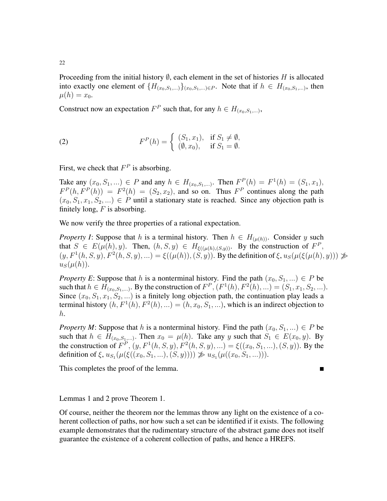Proceeding from the initial history  $\emptyset$ , each element in the set of histories H is allocated into exactly one element of  $\{H_{(x_0,S_1,...)}\}_{(x_0,S_1,...)\in P}$ . Note that if  $h \in H_{(x_0,S_1,...)}$ , then  $\mu(h) = x_0.$ 

Construct now an expectation  $F^P$  such that, for any  $h \in H_{(x_0, S_1, \ldots)},$ 

(2) 
$$
F^{P}(h) = \begin{cases} (S_1, x_1), & \text{if } S_1 \neq \emptyset, \\ (\emptyset, x_0), & \text{if } S_1 = \emptyset. \end{cases}
$$

First, we check that  $F^P$  is absorbing.

Take any  $(x_0, S_1, ...) \in P$  and any  $h \in H_{(x_0, S_1, ...)}$ . Then  $F^P(h) = F^1(h) = (S_1, x_1)$ ,  $F^P(h, F^P(h)) = F^2(h) = (S_2, x_2)$ , and so on. Thus  $F^P$  continues along the path  $(x_0, S_1, x_1, S_2, ...) \in P$  until a stationary state is reached. Since any objection path is finitely long,  $F$  is absorbing.

We now verify the three properties of a rational expectation.

*Property I*: Suppose that h is a terminal history. Then  $h \in H_{(\mu(h))}$ . Consider y such that  $S \in E(\mu(h), y)$ . Then,  $(h, S, y) \in H_{\xi((\mu(h), (S, y))}$ . By the construction of  $F^P$ ,  $(y, F<sup>1</sup>(h, S, y), F<sup>2</sup>(h, S, y), ...) = \xi((\mu(h)), (S, y))$ . By the definition of  $\xi, u_S(\mu(\xi(\mu(h), y))) \gg$  $u_S(\mu(h))$ .

*Property E*: Suppose that h is a nonterminal history. Find the path  $(x_0, S_1, ...) \in P$  be such that  $h \in H_{(x_0, S_1,...)}$ . By the construction of  $F^P$ ,  $(F^1(h), F^2(h), ...) = (S_1, x_1, S_2, ...)$ . Since  $(x_0, S_1, x_1, S_2, ...)$  is a finitely long objection path, the continuation play leads a terminal history  $(h, F^1(h), F^2(h), ...) = (h, x_0, S_1, ...)$ , which is an indirect objection to h.

*Property M*: Suppose that h is a nonterminal history. Find the path  $(x_0, S_1, ...) \in P$  be such that  $h \in H_{(x_0, S_1,...)}$ . Then  $x_0 = \mu(h)$ . Take any y such that  $S_1 \in E(x_0, y)$ . By the construction of  $F^P$ ,  $(y, F^1(h, S, y), F^2(h, S, y), ...) = \xi((x_0, S_1, ...)$ ,  $(S, y)$ . By the definition of  $\xi$ ,  $u_{S_1}(\mu(\xi((x_0, S_1, \ldots), (S, y)))) \not\gg u_{S_1}(\mu((x_0, S_1, \ldots))).$ 

This completes the proof of the lemma.

Lemmas 1 and 2 prove Theorem 1.

Of course, neither the theorem nor the lemmas throw any light on the existence of a coherent collection of paths, nor how such a set can be identified if it exists. The following example demonstrates that the rudimentary structure of the abstract game does not itself guarantee the existence of a coherent collection of paths, and hence a HREFS.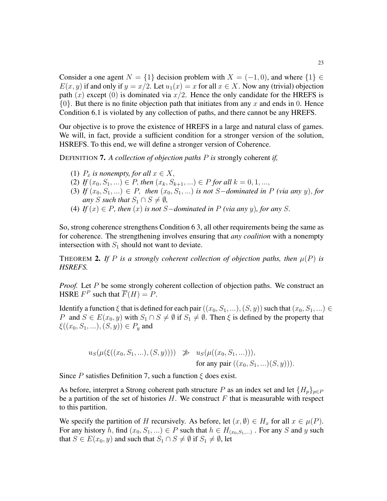Consider a one agent  $N = \{1\}$  decision problem with  $X = (-1, 0)$ , and where  $\{1\} \in$  $E(x, y)$  if and only if  $y = x/2$ . Let  $u_1(x) = x$  for all  $x \in X$ . Now any (trivial) objection path  $(x)$  except  $(0)$  is dominated via  $x/2$ . Hence the only candidate for the HREFS is  $\{0\}$ . But there is no finite objection path that initiates from any x and ends in 0. Hence Condition 6.1 is violated by any collection of paths, and there cannot be any HREFS.

Our objective is to prove the existence of HREFS in a large and natural class of games. We will, in fact, provide a sufficient condition for a stronger version of the solution, HSREFS. To this end, we will define a stronger version of Coherence.

DEFINITION 7. *A collection of objection paths* P *is* strongly coherent *if,*

- (1)  $P_x$  *is nonempty, for all*  $x \in X$ ,
- (2) *If*  $(x_0, S_1, ...) \in P$ , *then*  $(x_k, S_{k+1}, ...) \in P$  *for all*  $k = 0, 1, ...,$
- (3) *If*  $(x_0, S_1, ...)$  ∈ *P*, *then*  $(x_0, S_1, ...)$  *is not* S-*dominated in P* (via any y), for *any S such that*  $S_1 \cap S \neq \emptyset$ *,*
- (4) *If*  $(x) \in P$ *, then*  $(x)$  *is not S*−*dominated in P* (*via any y*)*, for any S.*

So, strong coherence strengthens Condition 6 3, all other requirements being the same as for coherence. The strengthening involves ensuring that *any coalition* with a nonempty intersection with  $S_1$  should not want to deviate.

THEOREM 2. If P is a strongly coherent collection of objection paths, then  $\mu(P)$  is *HSREFS.*

*Proof.* Let P be some strongly coherent collection of objection paths. We construct an HSRE  $F^P$  such that  $\overline{F}(H) = P$ .

Identify a function  $\xi$  that is defined for each pair  $((x_0, S_1, ...)$ ,  $(S, y))$  such that  $(x_0, S_1, ...)$ P and  $S \in E(x_0, y)$  with  $S_1 \cap S \neq \emptyset$  if  $S_1 \neq \emptyset$ . Then  $\xi$  is defined by the property that  $\xi((x_0, S_1, \ldots), (S, y)) \in P_y$  and

$$
u_S(\mu(\xi((x_0, S_1, \ldots), (S, y)))) \not\gg u_S(\mu((x_0, S_1, \ldots))),
$$
  
for any pair  $((x_0, S_1, \ldots)(S, y))).$ 

Since P satisfies Definition 7, such a function  $\xi$  does exist.

As before, interpret a Strong coherent path structure P as an index set and let  $\{H_p\}_{p\in P}$ be a partition of the set of histories  $H$ . We construct  $F$  that is measurable with respect to this partition.

We specify the partition of H recursively. As before, let  $(x, \emptyset) \in H_x$  for all  $x \in \mu(P)$ . For any history h, find  $(x_0, S_1, ...) \in P$  such that  $h \in H_{(x_0, S_1, ...)}$ . For any S and y such that  $S \in E(x_0, y)$  and such that  $S_1 \cap S \neq \emptyset$  if  $S_1 \neq \emptyset$ , let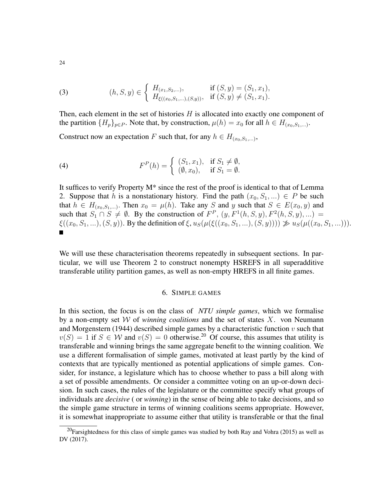(3) 
$$
(h, S, y) \in \begin{cases} H_{(x_1, S_2, \ldots)}, & \text{if } (S, y) = (S_1, x_1), \\ H_{\xi((x_0, S_1, \ldots), (S, y))}, & \text{if } (S, y) \neq (S_1, x_1). \end{cases}
$$

Then, each element in the set of histories  $H$  is allocated into exactly one component of the partition  $\{H_p\}_{p\in P}$ . Note that, by construction,  $\mu(h) = x_0$  for all  $h \in H_{(x_0, S_1, \ldots)}$ .

Construct now an expectation F such that, for any  $h \in H_{(x_0, S_1,...)},$ 

(4) 
$$
F^{P}(h) = \begin{cases} (S_1, x_1), & \text{if } S_1 \neq \emptyset, \\ (\emptyset, x_0), & \text{if } S_1 = \emptyset. \end{cases}
$$

It suffices to verify Property M\* since the rest of the proof is identical to that of Lemma 2. Suppose that h is a nonstationary history. Find the path  $(x_0, S_1, ...) \in P$  be such that  $h \in H_{(x_0, S_1,...)}$ . Then  $x_0 = \mu(h)$ . Take any S and y such that  $S \in E(x_0, y)$  and such that  $S_1 \cap S \neq \emptyset$ . By the construction of  $F^P$ ,  $(y, F^1(h, S, y), F^2(h, S, y), ...)$  $\xi((x_0, S_1, \ldots), (S, y))$ . By the definition of  $\xi, u_S(\mu(\xi((x_0, S_1, \ldots), (S, y)))) \not\gg u_S(\mu((x_0, S_1, \ldots))).$  $\blacksquare$ 

We will use these characterisation theorems repeatedly in subsequent sections. In particular, we will use Theorem 2 to construct nonempty HSREFS in all superadditive transferable utility partition games, as well as non-empty HREFS in all finite games.

## 6. SIMPLE GAMES

In this section, the focus is on the class of *NTU simple games*, which we formalise by a non-empty set W of *winning coalitions* and the set of states X. von Neumann and Morgenstern (1944) described simple games by a characteristic function  $v$  such that  $v(S) = 1$  if  $S \in W$  and  $v(S) = 0$  otherwise.<sup>20</sup> Of course, this assumes that utility is transferable and winning brings the same aggregate benefit to the winning coalition. We use a different formalisation of simple games, motivated at least partly by the kind of contexts that are typically mentioned as potential applications of simple games. Consider, for instance, a legislature which has to choose whether to pass a bill along with a set of possible amendments. Or consider a committee voting on an up-or-down decision. In such cases, the rules of the legislature or the committee specify what groups of individuals are *decisive* ( or *winning*) in the sense of being able to take decisions, and so the simple game structure in terms of winning coalitions seems appropriate. However, it is somewhat inappropriate to assume either that utility is transferable or that the final

 $^{20}$ Farsightedness for this class of simple games was studied by both Ray and Vohra (2015) as well as DV (2017).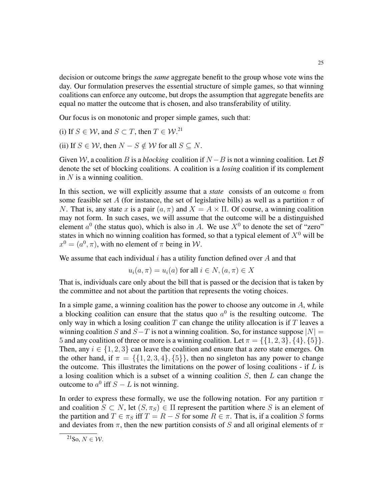decision or outcome brings the *same* aggregate benefit to the group whose vote wins the day. Our formulation preserves the essential structure of simple games, so that winning coalitions can enforce any outcome, but drops the assumption that aggregate benefits are equal no matter the outcome that is chosen, and also transferability of utility.

Our focus is on monotonic and proper simple games, such that:

(i) If  $S \in \mathcal{W}$ , and  $S \subset T$ , then  $T \in \mathcal{W}$ .<sup>21</sup>

(ii) If  $S \in W$ , then  $N - S \notin W$  for all  $S \subseteq N$ .

Given W, a coalition B is a *blocking* coalition if  $N - B$  is not a winning coalition. Let B denote the set of blocking coalitions. A coalition is a *losing* coalition if its complement in  $N$  is a winning coalition.

In this section, we will explicitly assume that a *state* consists of an outcome a from some feasible set A (for instance, the set of legislative bills) as well as a partition  $\pi$  of N. That is, any state x is a pair  $(a, \pi)$  and  $X = A \times \Pi$ . Of course, a winning coalition may not form. In such cases, we will assume that the outcome will be a distinguished element  $a^0$  (the status quo), which is also in A. We use  $X^0$  to denote the set of "zero" states in which no winning coalition has formed, so that a typical element of  $X^0$  will be  $x^0 = (a^0, \pi)$ , with no element of  $\pi$  being in W.

We assume that each individual i has a utility function defined over  $A$  and that

$$
u_i(a, \pi) = u_i(a) \text{ for all } i \in N, (a, \pi) \in X
$$

That is, individuals care only about the bill that is passed or the decision that is taken by the committee and not about the partition that represents the voting choices.

In a simple game, a winning coalition has the power to choose any outcome in  $A$ , while a blocking coalition can ensure that the status quo  $a^0$  is the resulting outcome. The only way in which a losing coalition  $T$  can change the utility allocation is if  $T$  leaves a winning coalition S and  $S-T$  is not a winning coalition. So, for instance suppose  $|N| =$ 5 and any coalition of three or more is a winning coalition. Let  $\pi = \{ \{1, 2, 3\}, \{4\}, \{5\} \}.$ Then, any  $i \in \{1, 2, 3\}$  can leave the coalition and ensure that a zero state emerges. On the other hand, if  $\pi = \{\{1, 2, 3, 4\}, \{5\}\}\$ , then no singleton has any power to change the outcome. This illustrates the limitations on the power of losing coalitions - if  $L$  is a losing coalition which is a subset of a winning coalition  $S$ , then  $L$  can change the outcome to  $a^0$  iff  $S - L$  is not winning.

In order to express these formally, we use the following notation. For any partition  $\pi$ and coalition  $S \subset N$ , let  $(S, \pi_S) \in \Pi$  represent the partition where S is an element of the partition and  $T \in \pi_S$  iff  $T = R - S$  for some  $R \in \pi$ . That is, if a coalition S forms and deviates from  $\pi$ , then the new partition consists of S and all original elements of  $\pi$ 

<sup>&</sup>lt;sup>21</sup>So,  $N \in \mathcal{W}$ .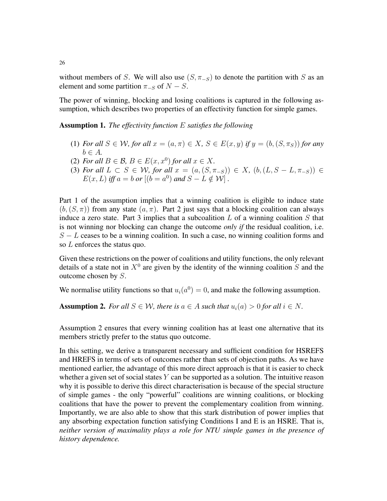without members of S. We will also use  $(S, \pi_{-S})$  to denote the partition with S as an element and some partition  $\pi_{-S}$  of  $N - S$ .

The power of winning, blocking and losing coalitions is captured in the following assumption, which describes two properties of an effectivity function for simple games.

Assumption 1. *The effectivity function* E *satisfies the following*

- (1) *For all*  $S \in \mathcal{W}$ *, for all*  $x = (a, \pi) \in X$ *,*  $S \in E(x, y)$  *if*  $y = (b, (S, \pi_S))$  *for any*  $b \in A$ .
- (2) *For all*  $B \in \mathcal{B}$ ,  $B \in E(x, x^0)$  *for all*  $x \in X$ .
- (3) *For all*  $L \subset S \in W$ *, for all*  $x = (a, (S, \pi_{-S})) \in X$ *,*  $(b, (L, S L, \pi_{-S})) \in$  $E(x, L)$  *iff*  $a = b$  *or*  $[(b = a^0)$  *and*  $S - L \notin \mathcal{W}]$ .

Part 1 of the assumption implies that a winning coalition is eligible to induce state  $(b, (S, \pi))$  from any state  $(a, \pi)$ . Part 2 just says that a blocking coalition can always induce a zero state. Part 3 implies that a subcoalition  $L$  of a winning coalition  $S$  that is not winning nor blocking can change the outcome *only if* the residual coalition, i.e.  $S - L$  ceases to be a winning coalition. In such a case, no winning coalition forms and so L enforces the status quo.

Given these restrictions on the power of coalitions and utility functions, the only relevant details of a state not in  $X^0$  are given by the identity of the winning coalition S and the outcome chosen by S.

We normalise utility functions so that  $u_i(a^0) = 0$ , and make the following assumption.

**Assumption 2.** For all  $S \in \mathcal{W}$ , there is  $a \in A$  such that  $u_i(a) > 0$  for all  $i \in N$ .

Assumption 2 ensures that every winning coalition has at least one alternative that its members strictly prefer to the status quo outcome.

In this setting, we derive a transparent necessary and sufficient condition for HSREFS and HREFS in terms of sets of outcomes rather than sets of objection paths. As we have mentioned earlier, the advantage of this more direct approach is that it is easier to check whether a given set of social states  $Y$  can be supported as a solution. The intuitive reason why it is possible to derive this direct characterisation is because of the special structure of simple games - the only "powerful" coalitions are winning coalitions, or blocking coalitions that have the power to prevent the complementary coalition from winning. Importantly, we are also able to show that this stark distribution of power implies that any absorbing expectation function satisfying Conditions I and E is an HSRE. That is, *neither version of maximality plays a role for NTU simple games in the presence of history dependence.*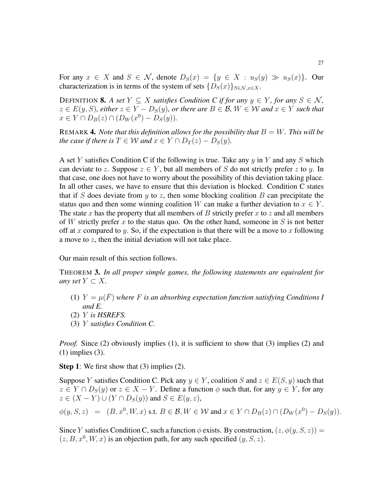For any  $x \in X$  and  $S \in \mathcal{N}$ , denote  $D_S(x) = \{y \in X : u_S(y) \gg u_S(x)\}\$ . Our characterization is in terms of the system of sets  $\{D_S(x)\}_{S\in\mathcal{N},x\in\mathcal{X}}$ .

DEFINITION **8.** *A set*  $Y \subseteq X$  *satisfies Condition C if for any*  $y \in Y$ *, for any*  $S \in \mathcal{N}$ *,*  $z \in E(y, S)$ , either  $z \in Y - D_S(y)$ , or there are  $B \in \mathcal{B}$ ,  $W \in \mathcal{W}$  and  $x \in Y$  such that  $x \in Y \cap D_B(z) \cap (D_W(x^0) - D_S(y)).$ 

REMARK 4. *Note that this definition allows for the possibility that*  $B = W$ . *This will be the case if there is*  $T \in W$  *and*  $x \in Y \cap D_T(z) - D_S(y)$ *.* 

A set Y satisfies Condition C if the following is true. Take any  $y$  in Y and any S which can deviate to z. Suppose  $z \in Y$ , but all members of S do not strictly prefer z to y. In that case, one does not have to worry about the possibility of this deviation taking place. In all other cases, we have to ensure that this deviation is blocked. Condition C states that if S does deviate from  $y$  to z, then some blocking coalition B can precipitate the status quo and then some winning coalition W can make a further deviation to  $x \in Y$ . The state x has the property that all members of B strictly prefer x to z and all members of W strictly prefer x to the status quo. On the other hand, someone in S is not better off at x compared to y. So, if the expectation is that there will be a move to x following a move to z, then the initial deviation will not take place.

Our main result of this section follows.

THEOREM 3. *In all proper simple games, the following statements are equivalent for any set*  $Y \subset X$ .

- (1)  $Y = \mu(\overline{F})$  where F is an absorbing expectation function satisfying Conditions I *and E.*
- (2) Y *is HSREFS.*
- (3) Y *satisfies Condition C.*

*Proof.* Since (2) obviously implies (1), it is sufficient to show that (3) implies (2) and (1) implies (3).

Step 1: We first show that (3) implies (2).

Suppose Y satisfies Condition C. Pick any  $y \in Y$ , coalition S and  $z \in E(S, y)$  such that  $z \in Y \cap D_S(y)$  or  $z \in X - Y$ . Define a function  $\phi$  such that, for any  $y \in Y$ , for any  $z \in (X - Y) \cup (Y \cap D_S(y))$  and  $S \in E(y, z)$ ,

$$
\phi(y, S, z) = (B, x^0, W, x) \text{ s.t. } B \in \mathcal{B}, W \in \mathcal{W} \text{ and } x \in Y \cap D_B(z) \cap (D_W(x^0) - D_S(y)).
$$

Since Y satisfies Condition C, such a function  $\phi$  exists. By construction,  $(z, \phi(y, S, z)) =$  $(z, B, x^0, W, x)$  is an objection path, for any such specified  $(y, S, z)$ .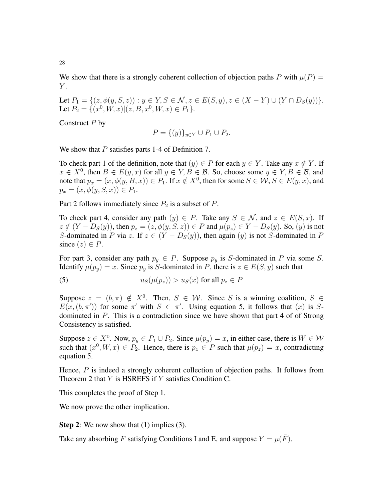We show that there is a strongly coherent collection of objection paths P with  $\mu(P)$  =  $Y$ .

Let  $P_1 = \{(z, \phi(y, S, z)) : y \in Y, S \in \mathcal{N}, z \in E(S, y), z \in (X - Y) \cup (Y \cap D_S(y))\}.$ Let  $P_2 = \{(x^0, W, x) | (z, B, x^0, W, x) \in P_1\}.$ 

Construct  $P$  by

$$
P = \{(y)\}_{y \in Y} \cup P_1 \cup P_2.
$$

We show that  $P$  satisfies parts 1-4 of Definition 7.

To check part 1 of the definition, note that  $(y) \in P$  for each  $y \in Y$ . Take any  $x \notin Y$ . If  $x \in X^0$ , then  $B \in E(y, x)$  for all  $y \in Y, B \in \mathcal{B}$ . So, choose some  $y \in Y, B \in \mathcal{B}$ , and note that  $p_x = (x, \phi(y, B, x)) \in P_1$ . If  $x \notin X^0$ , then for some  $S \in \mathcal{W}, S \in E(y, x)$ , and  $p_x = (x, \phi(y, S, x)) \in P_1.$ 

Part 2 follows immediately since  $P_2$  is a subset of  $P$ .

To check part 4, consider any path  $(y) \in P$ . Take any  $S \in \mathcal{N}$ , and  $z \in E(S, x)$ . If  $z \notin (Y - D_S(y))$ , then  $p_z = (z, \phi(y, S, z)) \in P$  and  $\mu(p_z) \in Y - D_S(y)$ . So,  $(y)$  is not S-dominated in P via z. If  $z \in (Y - D_S(y))$ , then again  $(y)$  is not S-dominated in P since  $(z) \in P$ .

For part 3, consider any path  $p_y \in P$ . Suppose  $p_y$  is S-dominated in P via some S. Identify  $\mu(p_y) = x$ . Since  $p_y$  is S-dominated in P, there is  $z \in E(S, y)$  such that

(5) 
$$
u_S(\mu(p_z)) > u_S(x) \text{ for all } p_z \in P
$$

Suppose  $z = (b, \pi) \notin X^0$ . Then,  $S \in \mathcal{W}$ . Since S is a winning coalition,  $S \in$  $E(x,(b,\pi'))$  for some  $\pi'$  with  $S \in \pi'$ . Using equation 5, it follows that  $(x)$  is Sdominated in P. This is a contradiction since we have shown that part 4 of of Strong Consistency is satisfied.

Suppose  $z \in X^0$ . Now,  $p_y \in P_1 \cup P_2$ . Since  $\mu(p_y) = x$ , in either case, there is  $W \in W$ such that  $(x^0, W, x) \in P_2$ . Hence, there is  $p_z \in P$  such that  $\mu(p_z) = x$ , contradicting equation 5.

Hence,  $P$  is indeed a strongly coherent collection of objection paths. It follows from Theorem 2 that  $Y$  is HSREFS if  $Y$  satisfies Condition C.

This completes the proof of Step 1.

We now prove the other implication.

**Step 2:** We now show that (1) implies (3).

Take any absorbing F satisfying Conditions I and E, and suppose  $Y = \mu(\overline{F})$ .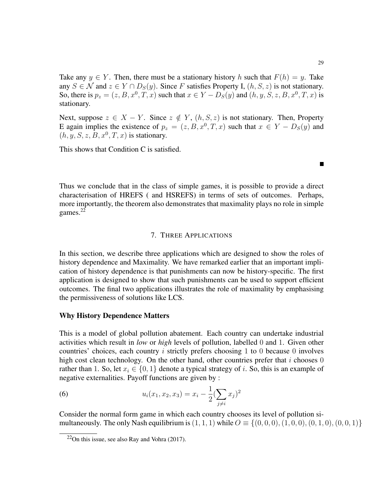Take any  $y \in Y$ . Then, there must be a stationary history h such that  $F(h) = y$ . Take any  $S \in \mathcal{N}$  and  $z \in Y \cap D_S(y)$ . Since F satisfies Property I,  $(h, S, z)$  is not stationary. So, there is  $p_z = (z, B, x^0, T, x)$  such that  $x \in Y - D_S(y)$  and  $(h, y, S, z, B, x^0, T, x)$  is stationary.

Next, suppose  $z \in X - Y$ . Since  $z \notin Y$ ,  $(h, S, z)$  is not stationary. Then, Property E again implies the existence of  $p_z = (z, B, x^0, T, x)$  such that  $x \in Y - D_S(y)$  and  $(h, y, S, z, B, x^0, T, x)$  is stationary.

This shows that Condition C is satisfied.

 $\blacksquare$ 

Thus we conclude that in the class of simple games, it is possible to provide a direct characterisation of HREFS ( and HSREFS) in terms of sets of outcomes. Perhaps, more importantly, the theorem also demonstrates that maximality plays no role in simple games. $^{22}$ 

# 7. THREE APPLICATIONS

In this section, we describe three applications which are designed to show the roles of history dependence and Maximality. We have remarked earlier that an important implication of history dependence is that punishments can now be history-specific. The first application is designed to show that such punishments can be used to support efficient outcomes. The final two applications illustrates the role of maximality by emphasising the permissiveness of solutions like LCS.

#### Why History Dependence Matters

This is a model of global pollution abatement. Each country can undertake industrial activities which result in *low* or *high* levels of pollution, labelled 0 and 1. Given other countries' choices, each country  $i$  strictly prefers choosing 1 to 0 because 0 involves high cost clean technology. On the other hand, other countries prefer that  $i$  chooses 0 rather than 1. So, let  $x_i \in \{0, 1\}$  denote a typical strategy of i. So, this is an example of negative externalities. Payoff functions are given by :

(6) 
$$
u_i(x_1, x_2, x_3) = x_i - \frac{1}{2} (\sum_{j \neq i} x_j)^2
$$

Consider the normal form game in which each country chooses its level of pollution simultaneously. The only Nash equilibrium is  $(1, 1, 1)$  while  $O \equiv \{(0, 0, 0), (1, 0, 0), (0, 1, 0), (0, 0, 1)\}\$ 

 $22$ On this issue, see also Ray and Vohra (2017).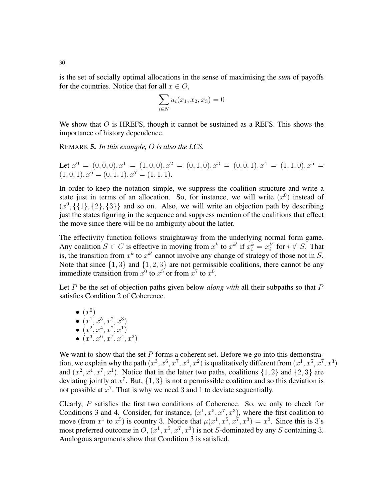is the set of socially optimal allocations in the sense of maximising the *sum* of payoffs for the countries. Notice that for all  $x \in O$ ,

$$
\sum_{i \in N} u_i(x_1, x_2, x_3) = 0
$$

We show that  $O$  is HREFS, though it cannot be sustained as a REFS. This shows the importance of history dependence.

REMARK 5. *In this example,* O *is also the LCS.*

Let  $x^0 = (0, 0, 0), x^1 = (1, 0, 0), x^2 = (0, 1, 0), x^3 = (0, 0, 1), x^4 = (1, 1, 0), x^5 =$  $(1, 0, 1), x^6 = (0, 1, 1), x^7 = (1, 1, 1).$ 

In order to keep the notation simple, we suppress the coalition structure and write a state just in terms of an allocation. So, for instance, we will write  $(x^0)$  instead of  $(x^0, \{1\}, \{2\}, \{3\})$  and so on. Also, we will write an objection path by describing just the states figuring in the sequence and suppress mention of the coalitions that effect the move since there will be no ambiguity about the latter.

The effectivity function follows straightaway from the underlying normal form game. Any coalition  $S \in C$  is effective in moving from  $x^k$  to  $x^{k'}$  if  $x_i^k = x_i^{k'}$  $i \notin S$ . That is, the transition from  $x^k$  to  $x^{k'}$  cannot involve any change of strategy of those not in S. Note that since  $\{1,3\}$  and  $\{1,2,3\}$  are not permissible coalitions, there cannot be any immediate transition from  $x^0$  to  $x^5$  or from  $x^7$  to  $x^0$ .

Let P be the set of objection paths given below *along with* all their subpaths so that P satisfies Condition 2 of Coherence.

\n- $$
(x^0)
$$
\n- $(x^1, x^5, x^7, x^3)$
\n- $(x^2, x^4, x^7, x^1)$
\n- $(x^3, x^6, x^7, x^4, x^2)$
\n

We want to show that the set  $P$  forms a coherent set. Before we go into this demonstration, we explain why the path  $(x^3, x^6, x^7, x^4, x^2)$  is qualitatively different from  $(x^1, x^5, x^7, x^3)$ and  $(x^2, x^4, x^7, x^1)$ . Notice that in the latter two paths, coalitions  $\{1, 2\}$  and  $\{2, 3\}$  are deviating jointly at  $x^7$ . But,  $\{1,3\}$  is not a permissible coalition and so this deviation is not possible at  $x^7$ . That is why we need 3 and 1 to deviate sequentially.

Clearly, P satisfies the first two conditions of Coherence. So, we only to check for Conditions 3 and 4. Consider, for instance,  $(x^1, x^5, x^7, x^3)$ , where the first coalition to move (from  $x^1$  to  $x^5$ ) is country 3. Notice that  $\mu(x^1, x^5, x^7, x^3) = x^3$ . Since this is 3's most preferred outcome in  $O$ ,  $(x^1, x^5, x^7, x^3)$  is not S-dominated by any S containing 3. Analogous arguments show that Condition 3 is satisfied.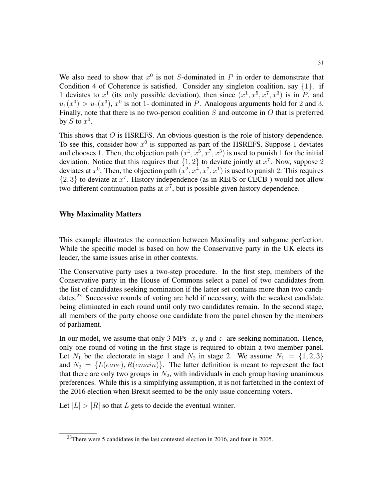We also need to show that  $x^0$  is not S-dominated in P in order to demonstrate that Condition 4 of Coherence is satisfied. Consider any singleton coalition, say  $\{1\}$ . if 1 deviates to  $x^1$  (its only possible deviation), then since  $(x^1, x^5, x^7, x^3)$  is in P, and  $u_1(x^0) > u_1(x^3)$ ,  $x^0$  is not 1- dominated in P. Analogous arguments hold for 2 and 3. Finally, note that there is no two-person coalition  $S$  and outcome in  $O$  that is preferred by S to  $x^0$ .

This shows that  $O$  is HSREFS. An obvious question is the role of history dependence. To see this, consider how  $x^0$  is supported as part of the HSREFS. Suppose 1 deviates and chooses 1. Then, the objection path  $(x^1, x^5, x^7, x^3)$  is used to punish 1 for the initial deviation. Notice that this requires that  $\{1, 2\}$  to deviate jointly at  $x^7$ . Now, suppose 2 deviates at  $x^0$ . Then, the objection path  $(x^2, x^4, x^7, x^1)$  is used to punish 2. This requires  $\{2,3\}$  to deviate at  $x^7$ . History independence (as in REFS or CECB) would not allow two different continuation paths at  $x^7$ , but is possible given history dependence.

#### Why Maximality Matters

This example illustrates the connection between Maximality and subgame perfection. While the specific model is based on how the Conservative party in the UK elects its leader, the same issues arise in other contexts.

The Conservative party uses a two-step procedure. In the first step, members of the Conservative party in the House of Commons select a panel of two candidates from the list of candidates seeking nomination if the latter set contains more than two candidates.<sup>23</sup> Successive rounds of voting are held if necessary, with the weakest candidate being eliminated in each round until only two candidates remain. In the second stage, all members of the party choose one candidate from the panel chosen by the members of parliament.

In our model, we assume that only 3 MPs -x,  $y$  and  $z$ - are seeking nomination. Hence, only one round of voting in the first stage is required to obtain a two-member panel. Let  $N_1$  be the electorate in stage 1 and  $N_2$  in stage 2. We assume  $N_1 = \{1, 2, 3\}$ and  $N_2 = \{L(eave), R(emain)\}\$ . The latter definition is meant to represent the fact that there are only two groups in  $N_2$ , with individuals in each group having unanimous preferences. While this is a simplifying assumption, it is not farfetched in the context of the 2016 election when Brexit seemed to be the only issue concerning voters.

Let  $|L| > |R|$  so that L gets to decide the eventual winner.

<sup>&</sup>lt;sup>23</sup>There were 5 candidates in the last contested election in 2016, and four in 2005.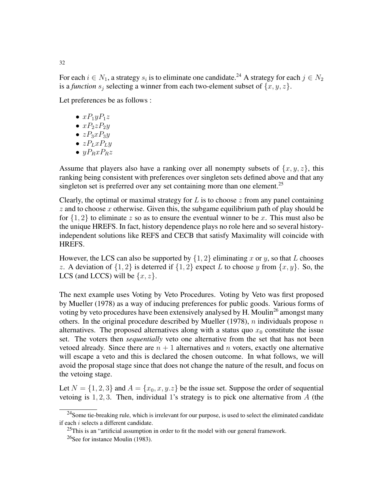For each  $i \in N_1$ , a strategy  $s_i$  is to eliminate one candidate.<sup>24</sup> A strategy for each  $j \in N_2$ is a *function*  $s_i$  selecting a winner from each two-element subset of  $\{x, y, z\}$ .

Let preferences be as follows :

- $xP_1yP_1z$
- $xP_2zP_2y$
- $zP_3xP_3y$
- $zP_LxP_Ly$
- $yP_RxP_Rz$

Assume that players also have a ranking over all nonempty subsets of  $\{x, y, z\}$ , this ranking being consistent with preferences over singleton sets defined above and that any singleton set is preferred over any set containing more than one element.<sup>25</sup>

Clearly, the optimal or maximal strategy for  $L$  is to choose  $z$  from any panel containing  $z$  and to choose  $x$  otherwise. Given this, the subgame equilibrium path of play should be for  $\{1, 2\}$  to eliminate z so as to ensure the eventual winner to be x. This must also be the unique HREFS. In fact, history dependence plays no role here and so several historyindependent solutions like REFS and CECB that satisfy Maximality will coincide with HREFS.

However, the LCS can also be supported by  $\{1, 2\}$  eliminating x or y, so that L chooses z. A deviation of  $\{1,2\}$  is deterred if  $\{1,2\}$  expect L to choose y from  $\{x, y\}$ . So, the LCS (and LCCS) will be  $\{x, z\}$ .

The next example uses Voting by Veto Procedures. Voting by Veto was first proposed by Mueller (1978) as a way of inducing preferences for public goods. Various forms of voting by veto procedures have been extensively analysed by H. Moulin<sup>26</sup> amongst many others. In the original procedure described by Mueller (1978),  $n$  individuals propose  $n$ alternatives. The proposed alternatives along with a status quo  $x_0$  constitute the issue set. The voters then *sequentially* veto one alternative from the set that has not been vetoed already. Since there are  $n + 1$  alternatives and n voters, exactly one alternative will escape a veto and this is declared the chosen outcome. In what follows, we will avoid the proposal stage since that does not change the nature of the result, and focus on the vetoing stage.

Let  $N = \{1, 2, 3\}$  and  $A = \{x_0, x, y_0, z\}$  be the issue set. Suppose the order of sequential vetoing is  $1, 2, 3$ . Then, individual 1's strategy is to pick one alternative from A (the

 $^{24}$ Some tie-breaking rule, which is irrelevant for our purpose, is used to select the eliminated candidate if each  $i$  selects a different candidate.

 $^{25}$ This is an "artificial assumption in order to fit the model with our general framework.

<sup>26</sup>See for instance Moulin (1983).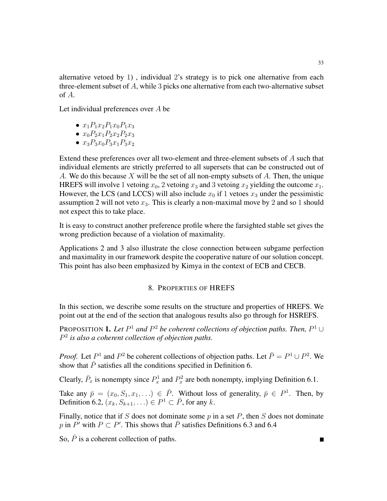alternative vetoed by 1) , individual 2's strategy is to pick one alternative from each three-element subset of  $A$ , while 3 picks one alternative from each two-alternative subset of A.

Let individual preferences over A be

- $x_1P_1x_2P_1x_0P_1x_3$
- $x_0P_2x_1P_2x_2P_2x_3$
- $x_3P_3x_0P_3x_1P_3x_2$

Extend these preferences over all two-element and three-element subsets of A such that individual elements are strictly preferred to all supersets that can be constructed out of A. We do this because  $X$  will be the set of all non-empty subsets of  $A$ . Then, the unique HREFS will involve 1 vetoing  $x_0$ , 2 vetoing  $x_3$  and 3 vetoing  $x_2$  yielding the outcome  $x_1$ . However, the LCS (and LCCS) will also include  $x_0$  if 1 vetoes  $x_3$  under the pessimistic assumption 2 will not veto  $x_3$ . This is clearly a non-maximal move by 2 and so 1 should not expect this to take place.

It is easy to construct another preference profile where the farsighted stable set gives the wrong prediction because of a violation of maximality.

Applications 2 and 3 also illustrate the close connection between subgame perfection and maximality in our framework despite the cooperative nature of our solution concept. This point has also been emphasized by Kimya in the context of ECB and CECB.

## 8. PROPERTIES OF HREFS

In this section, we describe some results on the structure and properties of HREFS. We point out at the end of the section that analogous results also go through for HSREFS.

PROPOSITION **1.** Let  $P^1$  and  $P^2$  be coherent collections of objection paths. Then,  $P^1 \cup$ P 2 *is also a coherent collection of objection paths.*

*Proof.* Let  $P^1$  and  $P^2$  be coherent collections of objection paths. Let  $\overline{P} = P^1 \cup P^2$ . We show that  $\bar{P}$  satisfies all the conditions specified in Definition 6.

Clearly,  $\bar{P}_x$  is nonempty since  $P_x^1$  and  $P_x^2$  are both nonempty, implying Definition 6.1.

Take any  $\bar{p} = (x_0, S_1, x_1, ...) \in \bar{P}$ . Without loss of generality,  $\bar{p} \in P^1$ . Then, by Definition 6.2,  $(x_k, S_{k+1}, ...) \in P^1 \subset \overline{P}$ , for any k.

Finally, notice that if S does not dominate some  $p$  in a set  $P$ , then  $S$  does not dominate p in P' with  $P \subset P'$ . This shows that  $\overline{P}$  satisfies Definitions 6.3 and 6.4

So,  $\overline{P}$  is a coherent collection of paths.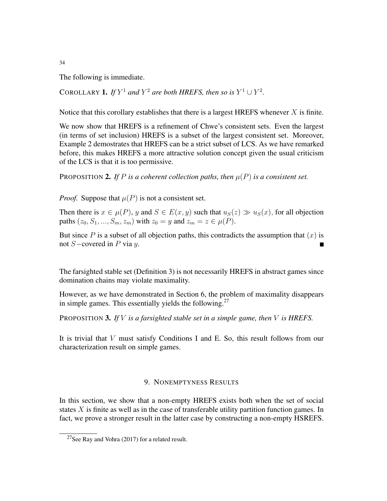The following is immediate.

COROLLARY **1.** *If*  $Y^1$  *and*  $Y^2$  *are both HREFS, then so is*  $Y^1 \cup Y^2$ *.* 

Notice that this corollary establishes that there is a largest HREFS whenever  $X$  is finite.

We now show that HREFS is a refinement of Chwe's consistent sets. Even the largest (in terms of set inclusion) HREFS is a subset of the largest consistent set. Moreover, Example 2 demostrates that HREFS can be a strict subset of LCS. As we have remarked before, this makes HREFS a more attractive solution concept given the usual criticism of the LCS is that it is too permissive.

PROPOSITION 2. If P is a coherent collection paths, then  $\mu(P)$  is a consistent set.

*Proof.* Suppose that  $\mu(P)$  is not a consistent set.

Then there is  $x \in \mu(P)$ , y and  $S \in E(x, y)$  such that  $u_S(z) \gg u_S(x)$ , for all objection paths  $(z_0, S_1, ..., S_m, z_m)$  with  $z_0 = y$  and  $z_m = z \in \mu(P)$ .

But since  $P$  is a subset of all objection paths, this contradicts the assumption that  $(x)$  is not  $S$ −covered in P via  $y$ .

The farsighted stable set (Definition 3) is not necessarily HREFS in abstract games since domination chains may violate maximality.

However, as we have demonstrated in Section 6, the problem of maximality disappears in simple games. This essentially yields the following.<sup>27</sup>

PROPOSITION 3. *If* V *is a farsighted stable set in a simple game, then* V *is HREFS.*

It is trivial that V must satisfy Conditions I and E. So, this result follows from our characterization result on simple games.

# 9. NONEMPTYNESS RESULTS

In this section, we show that a non-empty HREFS exists both when the set of social states  $X$  is finite as well as in the case of transferable utility partition function games. In fact, we prove a stronger result in the latter case by constructing a non-empty HSREFS.

<sup>27</sup>See Ray and Vohra (2017) for a related result.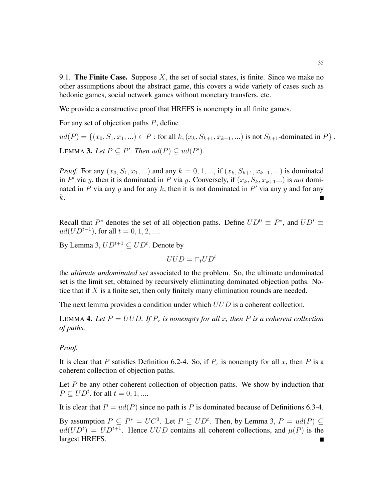9.1. The Finite Case. Suppose  $X$ , the set of social states, is finite. Since we make no other assumptions about the abstract game, this covers a wide variety of cases such as hedonic games, social network games without monetary transfers, etc.

We provide a constructive proof that HREFS is nonempty in all finite games.

For any set of objection paths  $P$ , define

 $ud(P) = \{(x_0, S_1, x_1, \ldots) \in P : \text{for all } k, (x_k, S_{k+1}, x_{k+1}, \ldots) \text{ is not } S_{k+1} \text{-dominated in } P \}.$ LEMMA 3. Let  $P \subseteq P'$ . Then  $ud(P) \subseteq ud(P')$ .

*Proof.* For any  $(x_0, S_1, x_1, ...)$  and any  $k = 0, 1, ...,$  if  $(x_k, S_{k+1}, x_{k+1}, ...)$  is dominated in  $P'$  via y, then it is dominated in P via y. Conversely, if  $(x_k, S_k, x_{k+1} ...)$  is *not* dominated in P via any y and for any k, then it is not dominated in  $P'$  via any y and for any k.

Recall that  $P^*$  denotes the set of all objection paths. Define  $UD^0 \equiv P^*$ , and  $UD^t \equiv$  $ud(UD^{t-1})$ , for all  $t = 0, 1, 2, ...$ 

By Lemma 3,  $UD^{t+1} \subseteq UD^t$ . Denote by

 $UUD = \bigcap_{t} UD^{t}$ 

the *ultimate undominated set* associated to the problem. So, the ultimate undominated set is the limit set, obtained by recursively eliminating dominated objection paths. Notice that if  $X$  is a finite set, then only finitely many elimination rounds are needed.

The next lemma provides a condition under which  $UUD$  is a coherent collection.

LEMMA 4. Let  $P = UUD$ . If  $P_x$  is nonempty for all x, then P is a coherent collection *of paths.*

## *Proof.*

It is clear that P satisfies Definition 6.2-4. So, if  $P_x$  is nonempty for all x, then P is a coherent collection of objection paths.

Let  $P$  be any other coherent collection of objection paths. We show by induction that  $P \subseteq U D^t$ , for all  $t = 0, 1, ...$ 

It is clear that  $P = ud(P)$  since no path is P is dominated because of Definitions 6.3-4.

By assumption  $P \subseteq P^* = UC^0$ . Let  $P \subseteq UD^t$ . Then, by Lemma 3,  $P = ud(P) \subseteq$  $ud(UD<sup>t</sup>) = UD<sup>t+1</sup>$ . Hence  $UUD$  contains all coherent collections, and  $\mu(P)$  is the largest HREFS.П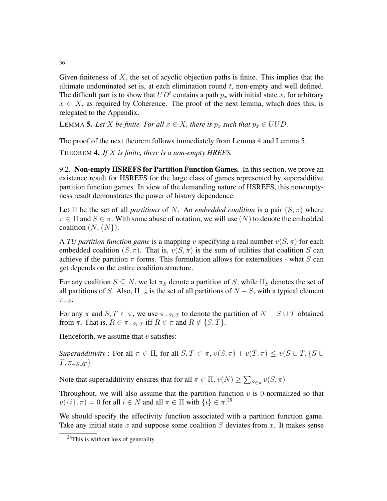Given finiteness of  $X$ , the set of acyclic objection paths is finite. This implies that the ultimate undominated set is, at each elimination round  $t$ , non-empty and well defined. The difficult part is to show that  $UD<sup>t</sup>$  contains a path  $p_x$  with initial state x, for arbitrary  $x \in X$ , as required by Coherence. The proof of the next lemma, which does this, is relegated to the Appendix.

LEMMA 5. Let *X* be finite. For all  $x \in X$ , there is  $p_x$  such that  $p_x \in UUD$ .

The proof of the next theorem follows immediately from Lemma 4 and Lemma 5.

THEOREM 4. *If* X *is finite, there is a non-empty HREFS.*

9.2. Non-empty HSREFS for Partition Function Games. In this section, we prove an existence result for HSREFS for the large class of games represented by superadditive partition function games. In view of the demanding nature of HSREFS, this nonemptyness result demonstrates the power of history dependence.

Let  $\Pi$  be the set of all *partitions* of N. An *embedded coalition* is a pair  $(S, \pi)$  where  $\pi \in \Pi$  and  $S \in \pi$ . With some abuse of notation, we will use  $(N)$  to denote the embedded coalition  $(N, \{N\})$ .

A *TU partition function game* is a mapping v specifying a real number  $v(S, \pi)$  for each embedded coalition  $(S, \pi)$ . That is,  $v(S, \pi)$  is the sum of utilities that coalition S can achieve if the partition  $\pi$  forms. This formulation allows for externalities - what S can get depends on the entire coalition structure.

For any coalition  $S \subseteq N$ , we let  $\pi_S$  denote a partition of S, while  $\Pi_S$  denotes the set of all partitions of S. Also,  $\Pi_{-S}$  is the set of all partitions of  $N - S$ , with a typical element  $\pi$ <sub>-S</sub>.

For any  $\pi$  and  $S, T \in \pi$ , we use  $\pi_{-S\cup T}$  to denote the partition of  $N - S \cup T$  obtained from  $\pi$ . That is,  $R \in \pi_{-S \cup T}$  iff  $R \in \pi$  and  $R \notin \{S, T\}$ .

Henceforth, we assume that  $v$  satisfies:

*Superadditivity* : For all  $\pi \in \Pi$ , for all  $S, T \in \pi$ ,  $v(S, \pi) + v(T, \pi) \le v(S \cup T, \{S \cup T\})$  $T, \pi_{-S\cup T}$ 

Note that superadditivity ensures that for all  $\pi \in \Pi$ ,  $v(N) \ge \sum_{S \in \pi} v(S, \pi)$ 

Throughout, we will also assume that the partition function  $v$  is 0-normalized so that  $v(\lbrace i \rbrace, \pi) = 0$  for all  $i \in N$  and all  $\pi \in \Pi$  with  $\lbrace i \rbrace \in \pi$ .<sup>28</sup>

We should specify the effectivity function associated with a partition function game. Take any initial state x and suppose some coalition  $S$  deviates from x. It makes sense

<sup>28</sup>This is without loss of generality.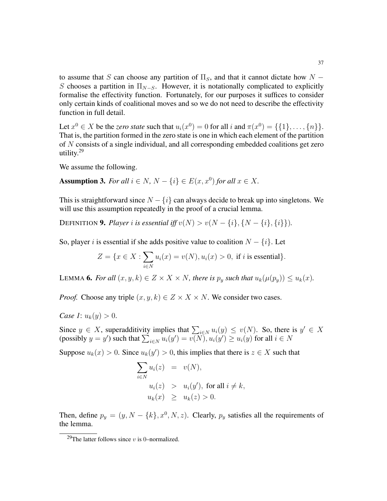to assume that S can choose any partition of  $\Pi_S$ , and that it cannot dictate how N – S chooses a partition in  $\Pi_{N-S}$ . However, it is notationally complicated to explicitly formalise the effectivity function. Fortunately, for our purposes it suffices to consider only certain kinds of coalitional moves and so we do not need to describe the effectivity function in full detail.

Let  $x^0 \in X$  be the *zero state* such that  $u_i(x^0) = 0$  for all i and  $\pi(x^0) = {\{1\}, \ldots, \{n\}}$ . That is, the partition formed in the zero state is one in which each element of the partition of N consists of a single individual, and all corresponding embedded coalitions get zero utility.<sup>29</sup>

We assume the following.

Assumption 3. *For all*  $i \in N$ ,  $N - \{i\} \in E(x, x^0)$  *for all*  $x \in X$ .

This is straightforward since  $N - \{i\}$  can always decide to break up into singletons. We will use this assumption repeatedly in the proof of a crucial lemma.

DEFINITION 9. *Player i* is essential iff  $v(N) > v(N - \{i\}, \{N - \{i\}, \{i\}\}).$ 

So, player *i* is essential if she adds positive value to coalition  $N - \{i\}$ . Let

$$
Z = \{x \in X : \sum_{i \in N} u_i(x) = v(N), u_i(x) > 0, \text{ if } i \text{ is essential}\}.
$$

LEMMA **6.** *For all*  $(x, y, k) \in Z \times X \times N$ *, there is*  $p_y$  *such that*  $u_k(\mu(p_y)) \leq u_k(x)$ *.* 

*Proof.* Choose any triple  $(x, y, k) \in Z \times X \times N$ . We consider two cases.

*Case 1*:  $u_k(y) > 0$ .

Since  $y \in X$ , superadditivity implies that  $\sum_{i \in N} u_i(y) \le v(N)$ . So, there is  $y' \in X$ (possibly  $y = y'$ ) such that  $\sum_{i \in N} u_i(y') = v(N)$ ,  $u_i(y') \ge u_i(y)$  for all  $i \in N$ 

Suppose  $u_k(x) > 0$ . Since  $u_k(y') > 0$ , this implies that there is  $z \in X$  such that

$$
\sum_{i \in N} u_i(z) = v(N),
$$
  
\n
$$
u_i(z) > u_i(y'), \text{ for all } i \neq k,
$$
  
\n
$$
u_k(x) \ge u_k(z) > 0.
$$

Then, define  $p_y = (y, N - \{k\}, x^0, N, z)$ . Clearly,  $p_y$  satisfies all the requirements of the lemma.

<sup>&</sup>lt;sup>29</sup>The latter follows since  $v$  is 0–normalized.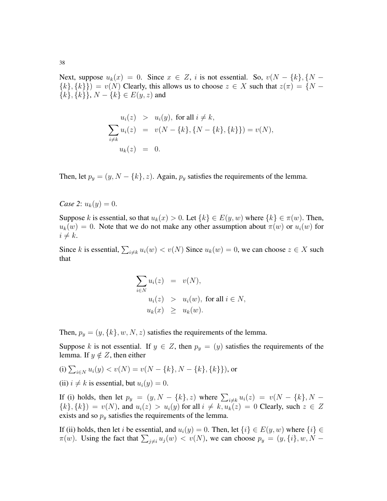Next, suppose  $u_k(x) = 0$ . Since  $x \in Z$ , i is not essential. So,  $v(N - \{k\}, \{N {k}, {k}$ ) =  $v(N)$  Clearly, this allows us to choose  $z \in X$  such that  $z(\pi) = \{N \{k\}, \{k\}\}\$ ,  $N - \{k\} \in E(y, z)$  and

$$
u_i(z) > u_i(y), \text{ for all } i \neq k,
$$
  
\n
$$
\sum_{i \neq k} u_i(z) = v(N - \{k\}, \{N - \{k\}, \{k\}) = v(N),
$$
  
\n
$$
u_k(z) = 0.
$$

Then, let  $p_y = (y, N - \{k\}, z)$ . Again,  $p_y$  satisfies the requirements of the lemma.

*Case 2*:  $u_k(y) = 0$ .

Suppose k is essential, so that  $u_k(x) > 0$ . Let  $\{k\} \in E(y, w)$  where  $\{k\} \in \pi(w)$ . Then,  $u_k(w) = 0$ . Note that we do not make any other assumption about  $\pi(w)$  or  $u_i(w)$  for  $i \neq k$ .

Since k is essential,  $\sum_{i \neq k} u_i(w) < v(N)$  Since  $u_k(w) = 0$ , we can choose  $z \in X$  such that

$$
\sum_{i \in N} u_i(z) = v(N),
$$
  
\n
$$
u_i(z) > u_i(w), \text{ for all } i \in N,
$$
  
\n
$$
u_k(x) \ge u_k(w).
$$

Then,  $p_y = (y, \{k\}, w, N, z)$  satisfies the requirements of the lemma.

Suppose k is not essential. If  $y \in Z$ , then  $p_y = (y)$  satisfies the requirements of the lemma. If  $y \notin Z$ , then either

(i) 
$$
\sum_{i \in N} u_i(y) < v(N) = v(N - \{k\}, N - \{k\}, \{k\})
$$
, or

(ii)  $i \neq k$  is essential, but  $u_i(y) = 0$ .

If (i) holds, then let  $p_y = (y, N - \{k\}, z)$  where  $\sum_{i \neq k} u_i(z) = v(N - \{k\}, N - \{k\})$  ${k}, {k}$  =  $v(N)$ , and  $u_i(z) > u_i(y)$  for all  $i \neq k$ ,  $u_k(z) = 0$  Clearly, such  $z \in Z$ exists and so  $p_y$  satisfies the requirements of the lemma.

If (ii) holds, then let i be essential, and  $u_i(y) = 0$ . Then, let  $\{i\} \in E(y, w)$  where  $\{i\} \in$  $\pi(w)$ . Using the fact that  $\sum_{j\neq i} u_j(w) < v(N)$ , we can choose  $p_y = (y, \{i\}, w, N -$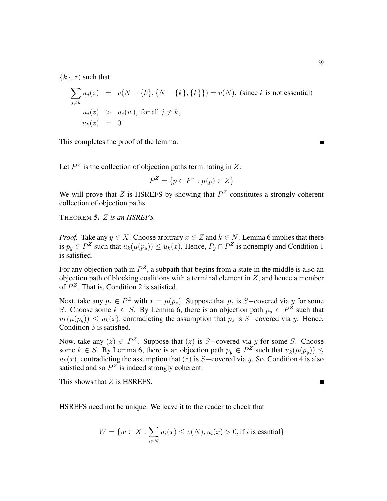${k}, z$  such that

$$
\sum_{j \neq k} u_j(z) = v(N - \{k\}, \{N - \{k\}, \{k\}\}) = v(N), \text{ (since } k \text{ is not essential)}
$$
\n
$$
u_j(z) > u_j(w), \text{ for all } j \neq k,
$$
\n
$$
u_k(z) = 0.
$$

This completes the proof of the lemma.

Let  $P^Z$  is the collection of objection paths terminating in Z:

$$
P^Z = \{ p \in P^* : \mu(p) \in Z \}
$$

We will prove that Z is HSREFS by showing that  $P^Z$  constitutes a strongly coherent collection of objection paths.

THEOREM 5. Z *is an HSREFS.*

*Proof.* Take any  $y \in X$ . Choose arbitrary  $x \in Z$  and  $k \in N$ . Lemma 6 implies that there is  $p_y \in P^Z$  such that  $u_k(\mu(p_y)) \le u_k(x)$ . Hence,  $P_y \cap P^Z$  is nonempty and Condition 1 is satisfied.

For any objection path in  $P^Z$ , a subpath that begins from a state in the middle is also an objection path of blocking coalitions with a terminal element in  $Z$ , and hence a member of  $P^Z$ . That is, Condition 2 is satisfied.

Next, take any  $p_z \in P^Z$  with  $x = \mu(p_z)$ . Suppose that  $p_z$  is S-covered via y for some S. Choose some  $k \in S$ . By Lemma 6, there is an objection path  $p_y \in P^Z$  such that  $u_k(\mu(p_y)) \leq u_k(x)$ , contradicting the assumption that  $p_z$  is S-covered via y. Hence, Condition 3 is satisfied.

Now, take any  $(z) \in P^Z$ . Suppose that  $(z)$  is S-covered via y for some S. Choose some  $k \in S$ . By Lemma 6, there is an objection path  $p_y \in P^Z$  such that  $u_k(\mu(p_y)) \leq$  $u_k(x)$ , contradicting the assumption that  $(z)$  is S−covered via y. So, Condition 4 is also satisfied and so  $P^Z$  is indeed strongly coherent.

This shows that  $Z$  is HSREFS.

HSREFS need not be unique. We leave it to the reader to check that

$$
W = \{ w \in X : \sum_{i \in N} u_i(x) \le v(N), u_i(x) > 0, \text{if } i \text{ is essential} \}
$$

П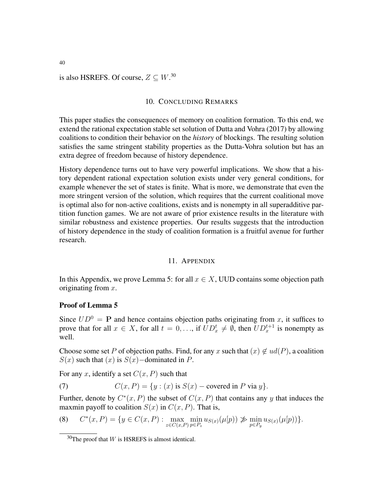# is also HSREFS. Of course,  $Z \subseteq W$ .<sup>30</sup>

## 10. CONCLUDING REMARKS

This paper studies the consequences of memory on coalition formation. To this end, we extend the rational expectation stable set solution of Dutta and Vohra (2017) by allowing coalitions to condition their behavior on the *history* of blockings. The resulting solution satisfies the same stringent stability properties as the Dutta-Vohra solution but has an extra degree of freedom because of history dependence.

History dependence turns out to have very powerful implications. We show that a history dependent rational expectation solution exists under very general conditions, for example whenever the set of states is finite. What is more, we demonstrate that even the more stringent version of the solution, which requires that the current coalitional move is optimal also for non-active coalitions, exists and is nonempty in all superadditive partition function games. We are not aware of prior existence results in the literature with similar robustness and existence properties. Our results suggests that the introduction of history dependence in the study of coalition formation is a fruitful avenue for further research.

## 11. APPENDIX

In this Appendix, we prove Lemma 5: for all  $x \in X$ , UUD contains some objection path originating from  $x$ .

#### Proof of Lemma 5

Since  $UD^0 = \mathbf{P}$  and hence contains objection paths originating from x, it suffices to prove that for all  $x \in X$ , for all  $t = 0, \ldots$ , if  $UD_x^t \neq \emptyset$ , then  $UD_x^{t+1}$  is nonempty as well.

Choose some set P of objection paths. Find, for any x such that  $(x) \notin ud(P)$ , a coalition  $S(x)$  such that  $(x)$  is  $S(x)$  –dominated in P.

For any x, identify a set  $C(x, P)$  such that

(7) 
$$
C(x, P) = \{y : (x) \text{ is } S(x) - \text{covered in } P \text{ via } y\}.
$$

Further, denote by  $C^*(x, P)$  the subset of  $C(x, P)$  that contains any y that induces the maxmin payoff to coalition  $S(x)$  in  $C(x, P)$ . That is,

(8) 
$$
C^*(x, P) = \{ y \in C(x, P) : \max_{z \in C(x, P)} \min_{p \in P_z} u_{S(x)}(\mu[p)) \not\gg \min_{p \in P_y} u_{S(x)}(\mu[p)) \}.
$$

 $30$ The proof that W is HSREFS is almost identical.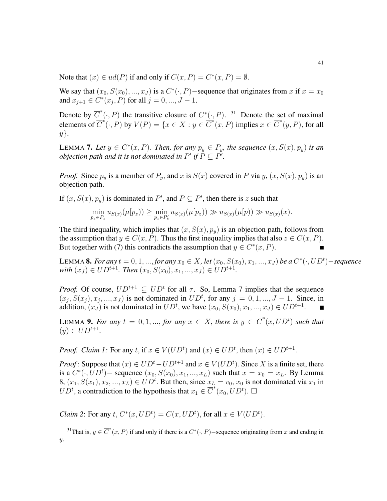Note that  $(x) \in ud(P)$  if and only if  $C(x, P) = C^*(x, P) = \emptyset$ .

We say that  $(x_0, S(x_0), ..., x_J)$  is a  $C^*(\cdot, P)$  – sequence that originates from x if  $x = x_0$ and  $x_{j+1} \in C^*(x_j, P)$  for all  $j = 0, ..., J - 1$ .

Denote by  $\overline{C}^*(\cdot, P)$  the transitive closure of  $C^*(\cdot, P)$ . <sup>31</sup> Denote the set of maximal elements of  $\overline{C}^*(\cdot, P)$  by  $V(P) = \{x \in X : y \in \overline{C}^*(x, P) \text{ implies } x \in \overline{C}^*(y, P), \text{ for all }$  $y$ .

LEMMA 7. Let  $y \in C^*(x, P)$ . Then, for any  $p_y \in P_y$ , the sequence  $(x, S(x), p_y)$  is an *objection path and it is not dominated in P' if*  $\overline{P} \subseteq \overline{P'}$ .

*Proof.* Since  $p_y$  is a member of  $P_y$ , and x is  $S(x)$  covered in P via y,  $(x, S(x), p_y)$  is an objection path.

If  $(x, S(x), p_y)$  is dominated in P', and  $P \subseteq P'$ , then there is z such that

$$
\min_{p_z \in P_z} u_{S(x)}(\mu[p_z)) \ge \min_{p_z \in P'_z} u_{S(x)}(\mu[p_z)) \gg u_{S(x)}(\mu[p)) \gg u_{S(x)}(x).
$$

The third inequality, which implies that  $(x, S(x), p_y)$  is an objection path, follows from the assumption that  $y \in C(x, P)$ . Thus the first inequality implies that also  $z \in C(x, P)$ . But together with (7) this contradicts the assumption that  $y \in C^*(x, P)$ .

LEMMA 8. *For any*  $t = 0, 1, ...,$  *for any*  $x_0 \in X$ , let  $(x_0, S(x_0), x_1, ..., x_J)$  be a  $C^*(\cdot, UD^t)$ −sequence *with*  $(x_J) \in UD^{t+1}$ *. Then*  $(x_0, S(x_0), x_1, ..., x_J) \in UD^{t+1}$ *.* 

*Proof.* Of course,  $UD^{t+1} \subseteq UD^t$  for all  $\tau$ . So, Lemma 7 implies that the sequence  $(x_j, S(x_j), x_j, ..., x_J)$  is not dominated in  $UD^t$ , for any  $j = 0, 1, ..., J - 1$ . Since, in addition,  $(x_J)$  is not dominated in  $UD<sup>t</sup>$ , we have  $(x_0, S(x_0), x_1, ..., x_J) \in UD<sup>t+1</sup>$ .

LEMMA 9. For any  $t = 0, 1, ...,$  for any  $x \in X$ , there is  $y \in \overline{C}^*(x, UD^t)$  such that  $(y) \in UD^{t+1}.$ 

*Proof. Claim 1:* For any t, if  $x \in V(UD<sup>t</sup>)$  and  $(x) \in UD<sup>t</sup>$ , then  $(x) \in UD<sup>t+1</sup>$ .

*Proof*: Suppose that  $(x) \in UD^t - UD^{t+1}$  and  $x \in V(UD^t)$ . Since X is a finite set, there is a  $C^*(\cdot, UD^t)$  – sequence  $(x_0, S(x_0), x_1, ..., x_L)$  such that  $x = x_0 = x_L$ . By Lemma 8,  $(x_1, S(x_1), x_2, ..., x_L) \in UD^t$ . But then, since  $x_L = v_0$ ,  $x_0$  is not dominated via  $x_1$  in  $UD^t$ , a contradiction to the hypothesis that  $x_1 \in \overline{C}^*(x_0, UD^t)$ .

*Claim 2*: For any  $t$ ,  $C^*(x, UD^t) = C(x, UD^t)$ , for all  $x \in V(UD^t)$ .

<sup>&</sup>lt;sup>31</sup>That is,  $y \in \overline{C}^*(x, P)$  if and only if there is a  $C^*(\cdot, P)$  –sequence originating from x and ending in  $\overline{y}$ .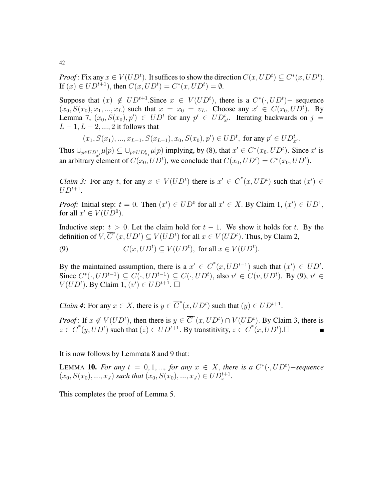*Proof*: Fix any  $x \in V(UD<sup>t</sup>)$ . It suffices to show the direction  $C(x, UD<sup>t</sup>) \subseteq C<sup>*</sup>(x, UD<sup>t</sup>)$ . If  $(x) \in UD^{t+1}$ , then  $C(x, UD^t) = C^*(x, UD^t) = \emptyset$ .

Suppose that  $(x) \notin UD^{t+1}$ . Since  $x \in V(UD^t)$ , there is a  $C^*(\cdot, UD^t)$  - sequence  $(x_0, S(x_0), x_1, ..., x_L)$  such that  $x = x_0 = v_L$ . Choose any  $x' \in C(x_0, UD^t)$ . By Lemma 7,  $(x_0, S(x_0), p') \in UD^t$  for any  $p' \in UD^t_{x'}$ . Iterating backwards on  $j =$  $L - 1, L - 2, ..., 2$  it follows that

$$
(x_1, S(x_1), ..., x_{L-1}, S(x_{L-1}), x_0, S(x_0), p') \in UD^t
$$
, for any  $p' \in UD^t_{x'}$ .

Thus  $\cup_{p\in UD_{x'}^t} \mu[p] \subseteq \cup_{p\in UD_{x_1}^t} \mu[p)$  implying, by (8), that  $x' \in C^*(x_0, UD^t)$ . Since  $x'$  is an arbitrary element of  $C(x_0, UD^t)$ , we conclude that  $C(x_0, UD^t) = C^*(x_0, UD^t)$ .

*Claim 3:* For any  $t$ , for any  $x \in V(UD<sup>t</sup>)$  there is  $x' \in \overline{C}^*(x, UD<sup>t</sup>)$  such that  $(x') \in$  $UD^{t+1}$ .

*Proof:* Initial step:  $t = 0$ . Then  $(x') \in UD^0$  for all  $x' \in X$ . By Claim 1,  $(x') \in UD^1$ , for all  $x' \in V(UD^0)$ .

Inductive step:  $t > 0$ . Let the claim hold for  $t - 1$ . We show it holds for t. By the definition of  $V$ ,  $\overline{C}^*(x, U D^t) \subseteq V(U D^t)$  for all  $x \in V(U D^t)$ . Thus, by Claim 2,

(9)  $\overline{C}(x, UD^t) \subseteq V(UD^t)$ , for all  $x \in V(UD^t)$ .

By the maintained assumption, there is a  $x' \in \overline{C}^*(x, UD^{t-1})$  such that  $(x') \in UD^t$ . Since  $C^*(\cdot, UD^{t-1}) \subseteq C(\cdot, UD^{t-1}) \subseteq C(\cdot, UD^t)$ , also  $v' \in \overline{C}(v, UD^t)$ . By (9),  $v' \in$  $V(UD<sup>t</sup>)$ . By Claim 1,  $(v') \in UD^{t+1}$ .  $\square$ 

*Claim 4*: For any  $x \in X$ , there is  $y \in \overline{C}^*(x, UD^t)$  such that  $(y) \in UD^{t+1}$ .

*Proof*: If  $x \notin V(UD<sup>t</sup>)$ , then there is  $y \in \overline{C}^*(x, UD<sup>t</sup>) \cap V(UD<sup>t</sup>)$ . By Claim 3, there is  $z \in \overline{C}^*(y, UD^t)$  such that  $(z) \in UD^{t+1}$ . By transtitivity,  $z \in \overline{C}^*(x, UD^t)$ .

It is now follows by Lemmata 8 and 9 that:

LEMMA **10.** For any  $t = 0, 1, ...,$  for any  $x \in X$ , there is a  $C^*(\cdot, UD^t)$ -sequence  $(x_0, S(x_0), ..., x_J)$  *such that*  $(x_0, S(x_0), ..., x_J) \in UD_x^{t+1}$ .

This completes the proof of Lemma 5.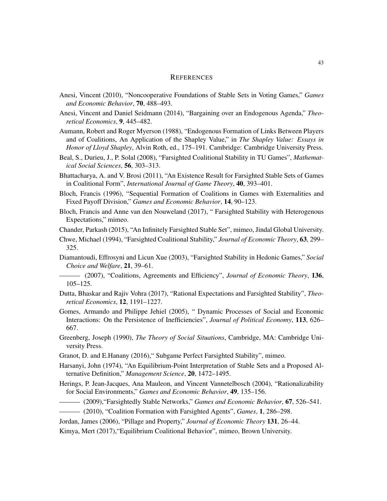## **REFERENCES**

- Anesi, Vincent (2010), "Noncooperative Foundations of Stable Sets in Voting Games," *Games and Economic Behavior*, 70, 488–493.
- Anesi, Vincent and Daniel Seidmann (2014), "Bargaining over an Endogenous Agenda," *Theoretical Economics*, 9, 445–482.
- Aumann, Robert and Roger Myerson (1988), "Endogenous Formation of Links Between Players and of Coalitions, An Application of the Shapley Value," in *The Shapley Value: Essays in Honor of Lloyd Shapley*, Alvin Roth, ed., 175–191. Cambridge: Cambridge University Press.
- Beal, S., Durieu, J., P. Solal (2008), "Farsighted Coalitional Stability in TU Games", *Mathematical Social Sciences*, 56, 303–313.
- Bhattacharya, A. and V. Brosi (2011), "An Existence Result for Farsighted Stable Sets of Games in Coalitional Form", *International Journal of Game Theory*, 40, 393–401.
- Bloch, Francis (1996), "Sequential Formation of Coalitions in Games with Externalities and Fixed Payoff Division," *Games and Economic Behavior*, 14, 90–123.
- Bloch, Francis and Anne van den Nouweland (2017), " Farsighted Stability with Heterogenous Expectations," mimeo.

Chander, Parkash (2015), "An Infinitely Farsighted Stable Set", mimeo, Jindal Global University.

- Chwe, Michael (1994), "Farsighted Coalitional Stability," *Journal of Economic Theory*, 63, 299– 325.
- Diamantoudi, Effrosyni and Licun Xue (2003), "Farsighted Stability in Hedonic Games," *Social Choice and Welfare*, 21, 39–61.
- (2007), "Coalitions, Agreements and Efficiency", *Journal of Economic Theory*, 136, 105–125.
- Dutta, Bhaskar and Rajiv Vohra (2017), "Rational Expectations and Farsighted Stability", *Theoretical Economics*, 12, 1191–1227.
- Gomes, Armando and Philippe Jehiel (2005), " Dynamic Processes of Social and Economic Interactions: On the Persistence of Inefficiencies", *Journal of Political Economy*, 113, 626– 667.
- Greenberg, Joseph (1990), *The Theory of Social Situations*, Cambridge, MA: Cambridge University Press.
- Granot, D. and E.Hanany (2016)," Subgame Perfect Farsighted Stability", mimeo.
- Harsanyi, John (1974), "An Equilibrium-Point Interpretation of Stable Sets and a Proposed Alternative Definition," *Management Science*, 20, 1472–1495.
- Herings, P. Jean-Jacques, Ana Mauleon, and Vincent Vannetelbosch (2004), "Rationalizability for Social Environments," *Games and Economic Behavior*, 49, 135–156.
- (2009),"Farsightedly Stable Networks," *Games and Economic Behavior*, 67, 526–541.
- (2010), "Coalition Formation with Farsighted Agents", *Games*, 1, 286–298.
- Jordan, James (2006), "Pillage and Property," *Journal of Economic Theory* 131, 26–44.

Kimya, Mert (2017),"Equilibrium Coalitional Behavior", mimeo, Brown University.